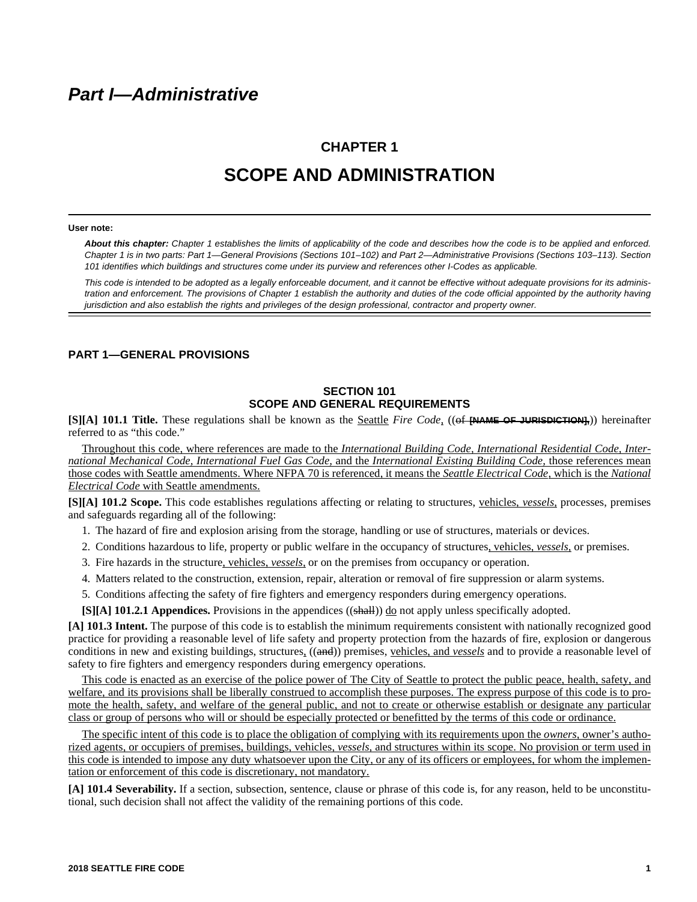# *Part I—Administrative*

# **CHAPTER 1**

# **SCOPE AND ADMINISTRATION**

#### **User note:**

*About this chapter: Chapter 1 establishes the limits of applicability of the code and describes how the code is to be applied and enforced. Chapter 1 is in two parts: Part 1—General Provisions (Sections 101–102) and Part 2—Administrative Provisions (Sections 103–113). Section 101 identifies which buildings and structures come under its purview and references other I-Codes as applicable.*

*This code is intended to be adopted as a legally enforceable document, and it cannot be effective without adequate provisions for its administration and enforcement. The provisions of Chapter 1 establish the authority and duties of the code official appointed by the authority having jurisdiction and also establish the rights and privileges of the design professional, contractor and property owner.*

### **PART 1—GENERAL PROVISIONS**

### **SECTION 101 SCOPE AND GENERAL REQUIREMENTS**

**[S][A] 101.1 Title.** These regulations shall be known as the Seattle *Fire Code,* ((of **[NAME OF JURISDICTION],**)) hereinafter referred to as "this code."

Throughout this code, where references are made to the *International Building Code, International Residential Code, International Mechanical Code, International Fuel Gas Code,* and the *International Existing Building Code,* those references mean those codes with Seattle amendments. Where NFPA 70 is referenced, it means the *Seattle Electrical Code*, which is the *National Electrical Code* with Seattle amendments.

**[S][A] 101.2 Scope.** This code establishes regulations affecting or relating to structures, vehicles, *vessels,* processes, premises and safeguards regarding all of the following:

1. The hazard of fire and explosion arising from the storage, handling or use of structures, materials or devices.

- 2. Conditions hazardous to life, property or public welfare in the occupancy of structures, vehicles, *vessels,* or premises.
- 3. Fire hazards in the structure, vehicles, *vessels,* or on the premises from occupancy or operation.
- 4. Matters related to the construction, extension, repair, alteration or removal of fire suppression or alarm systems.
- 5. Conditions affecting the safety of fire fighters and emergency responders during emergency operations.

**[S][A] 101.2.1 Appendices.** Provisions in the appendices ((shall)) do not apply unless specifically adopted.

**[A] 101.3 Intent.** The purpose of this code is to establish the minimum requirements consistent with nationally recognized good practice for providing a reasonable level of life safety and property protection from the hazards of fire, explosion or dangerous conditions in new and existing buildings, structures, ((and)) premises, <u>vehicles, and *vessels*</u> and to provide a reasonable level of safety to fire fighters and emergency responders during emergency operations.

This code is enacted as an exercise of the police power of The City of Seattle to protect the public peace, health, safety, and welfare, and its provisions shall be liberally construed to accomplish these purposes. The express purpose of this code is to promote the health, safety, and welfare of the general public, and not to create or otherwise establish or designate any particular class or group of persons who will or should be especially protected or benefitted by the terms of this code or ordinance.

The specific intent of this code is to place the obligation of complying with its requirements upon the *owners,* owner's authorized agents, or occupiers of premises, buildings, vehicles, *vessels,* and structures within its scope. No provision or term used in this code is intended to impose any duty whatsoever upon the City, or any of its officers or employees, for whom the implementation or enforcement of this code is discretionary, not mandatory.

**[A] 101.4 Severability.** If a section, subsection, sentence, clause or phrase of this code is, for any reason, held to be unconstitutional, such decision shall not affect the validity of the remaining portions of this code.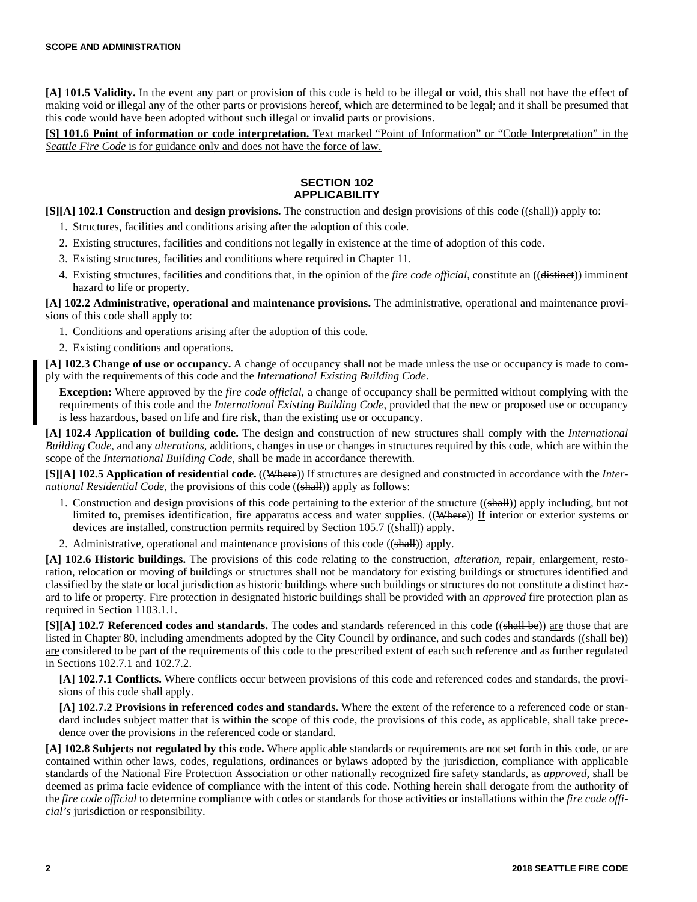**[A] 101.5 Validity.** In the event any part or provision of this code is held to be illegal or void, this shall not have the effect of making void or illegal any of the other parts or provisions hereof, which are determined to be legal; and it shall be presumed that this code would have been adopted without such illegal or invalid parts or provisions.

**[S] 101.6 Point of information or code interpretation.** Text marked "Point of Information" or "Code Interpretation" in the *Seattle Fire Code* is for guidance only and does not have the force of law.

### **SECTION 102 APPLICABILITY**

**[S][A] 102.1 Construction and design provisions.** The construction and design provisions of this code ((shall)) apply to:

- 1. Structures, facilities and conditions arising after the adoption of this code.
- 2. Existing structures, facilities and conditions not legally in existence at the time of adoption of this code.
- 3. Existing structures, facilities and conditions where required in Chapter 11.
- 4. Existing structures, facilities and conditions that, in the opinion of the *fire code official*, constitute an ((distinct)) imminent hazard to life or property.

**[A] 102.2 Administrative, operational and maintenance provisions.** The administrative, operational and maintenance provisions of this code shall apply to:

- 1. Conditions and operations arising after the adoption of this code.
- 2. Existing conditions and operations.

**[A] 102.3 Change of use or occupancy.** A change of occupancy shall not be made unless the use or occupancy is made to comply with the requirements of this code and the *International Existing Building Code*.

**Exception:** Where approved by the *fire code official*, a change of occupancy shall be permitted without complying with the requirements of this code and the *International Existing Building Code*, provided that the new or proposed use or occupancy is less hazardous, based on life and fire risk, than the existing use or occupancy.

**[A] 102.4 Application of building code.** The design and construction of new structures shall comply with the *International Building Code*, and any *alterations*, additions, changes in use or changes in structures required by this code, which are within the scope of the *International Building Code*, shall be made in accordance therewith.

**[S][A] 102.5 Application of residential code.** ((Where)) If structures are designed and constructed in accordance with the *International Residential Code*, the provisions of this code ((shall)) apply as follows:

- 1. Construction and design provisions of this code pertaining to the exterior of the structure ((shall)) apply including, but not limited to, premises identification, fire apparatus access and water supplies. ((Where)) If interior or exterior systems or devices are installed, construction permits required by Section 105.7 ((shall)) apply.
- 2. Administrative, operational and maintenance provisions of this code ((shall)) apply.

**[A] 102.6 Historic buildings.** The provisions of this code relating to the construction, *alteration*, repair, enlargement, restoration, relocation or moving of buildings or structures shall not be mandatory for existing buildings or structures identified and classified by the state or local jurisdiction as historic buildings where such buildings or structures do not constitute a distinct hazard to life or property. Fire protection in designated historic buildings shall be provided with an *approved* fire protection plan as required in Section 1103.1.1.

**[S][A] 102.7 Referenced codes and standards.** The codes and standards referenced in this code ((shall be)) are those that are listed in Chapter 80, including amendments adopted by the City Council by ordinance, and such codes and standards ((shall be)) are considered to be part of the requirements of this code to the prescribed extent of each such reference and as further regulated in Sections 102.7.1 and 102.7.2.

**[A] 102.7.1 Conflicts.** Where conflicts occur between provisions of this code and referenced codes and standards, the provisions of this code shall apply.

**[A] 102.7.2 Provisions in referenced codes and standards.** Where the extent of the reference to a referenced code or standard includes subject matter that is within the scope of this code, the provisions of this code, as applicable, shall take precedence over the provisions in the referenced code or standard.

**[A] 102.8 Subjects not regulated by this code.** Where applicable standards or requirements are not set forth in this code, or are contained within other laws, codes, regulations, ordinances or bylaws adopted by the jurisdiction, compliance with applicable standards of the National Fire Protection Association or other nationally recognized fire safety standards, as *approved,* shall be deemed as prima facie evidence of compliance with the intent of this code. Nothing herein shall derogate from the authority of the *fire code official* to determine compliance with codes or standards for those activities or installations within the *fire code official's* jurisdiction or responsibility.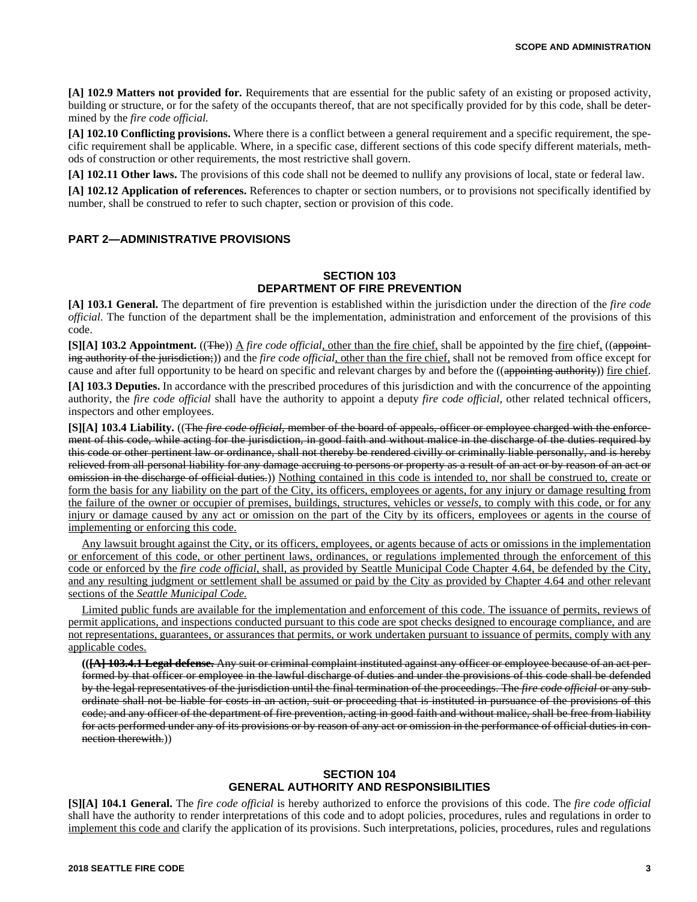**[A] 102.9 Matters not provided for.** Requirements that are essential for the public safety of an existing or proposed activity, building or structure, or for the safety of the occupants thereof, that are not specifically provided for by this code, shall be determined by the *fire code official.*

**[A] 102.10 Conflicting provisions.** Where there is a conflict between a general requirement and a specific requirement, the specific requirement shall be applicable. Where, in a specific case, different sections of this code specify different materials, methods of construction or other requirements, the most restrictive shall govern.

**[A] 102.11 Other laws.** The provisions of this code shall not be deemed to nullify any provisions of local, state or federal law.

**[A] 102.12 Application of references.** References to chapter or section numbers, or to provisions not specifically identified by number, shall be construed to refer to such chapter, section or provision of this code.

### **PART 2—ADMINISTRATIVE PROVISIONS**

#### **SECTION 103 DEPARTMENT OF FIRE PREVENTION**

**[A] 103.1 General.** The department of fire prevention is established within the jurisdiction under the direction of the *fire code official.* The function of the department shall be the implementation, administration and enforcement of the provisions of this code.

**[S][A] 103.2 Appointment.** ((The)) A *fire code official*, other than the fire chief, shall be appointed by the fire chief, ((appointing authority of the jurisdiction;)) and the *fire code official*, other than the fire chief, shall not be removed from office except for cause and after full opportunity to be heard on specific and relevant charges by and before the ((appointing authority)) fire chief.

**[A] 103.3 Deputies.** In accordance with the prescribed procedures of this jurisdiction and with the concurrence of the appointing authority, the *fire code official* shall have the authority to appoint a deputy *fire code official,* other related technical officers, inspectors and other employees.

**[S][A] 103.4 Liability.** ((The *fire code official,* member of the board of appeals, officer or employee charged with the enforcement of this code, while acting for the jurisdiction, in good faith and without malice in the discharge of the duties required by this code or other pertinent law or ordinance, shall not thereby be rendered civilly or criminally liable personally, and is hereby relieved from all personal liability for any damage accruing to persons or property as a result of an act or by reason of an act or omission in the discharge of official duties.)) Nothing contained in this code is intended to, nor shall be construed to, create or form the basis for any liability on the part of the City, its officers, employees or agents, for any injury or damage resulting from the failure of the owner or occupier of premises, buildings, structures, vehicles or *vessels,* to comply with this code, or for any injury or damage caused by any act or omission on the part of the City by its officers, employees or agents in the course of implementing or enforcing this code.

Any lawsuit brought against the City, or its officers, employees, or agents because of acts or omissions in the implementation or enforcement of this code, or other pertinent laws, ordinances, or regulations implemented through the enforcement of this code or enforced by the *fire code official*, shall, as provided by Seattle Municipal Code Chapter 4.64, be defended by the City, and any resulting judgment or settlement shall be assumed or paid by the City as provided by Chapter 4.64 and other relevant sections of the *Seattle Municipal Code.*

Limited public funds are available for the implementation and enforcement of this code. The issuance of permits, reviews of permit applications, and inspections conducted pursuant to this code are spot checks designed to encourage compliance, and are not representations, guarantees, or assurances that permits, or work undertaken pursuant to issuance of permits, comply with any applicable codes.

**(([A] 103.4.1 Legal defense.** Any suit or criminal complaint instituted against any officer or employee because of an act performed by that officer or employee in the lawful discharge of duties and under the provisions of this code shall be defended by the legal representatives of the jurisdiction until the final termination of the proceedings. The *fire code official* or any subordinate shall not be liable for costs in an action, suit or proceeding that is instituted in pursuance of the provisions of this code; and any officer of the department of fire prevention, acting in good faith and without malice, shall be free from liability for acts performed under any of its provisions or by reason of any act or omission in the performance of official duties in connection therewith.))

## **SECTION 104 GENERAL AUTHORITY AND RESPONSIBILITIES**

**[S][A] 104.1 General.** The *fire code official* is hereby authorized to enforce the provisions of this code. The *fire code official* shall have the authority to render interpretations of this code and to adopt policies, procedures, rules and regulations in order to implement this code and clarify the application of its provisions. Such interpretations, policies, procedures, rules and regulations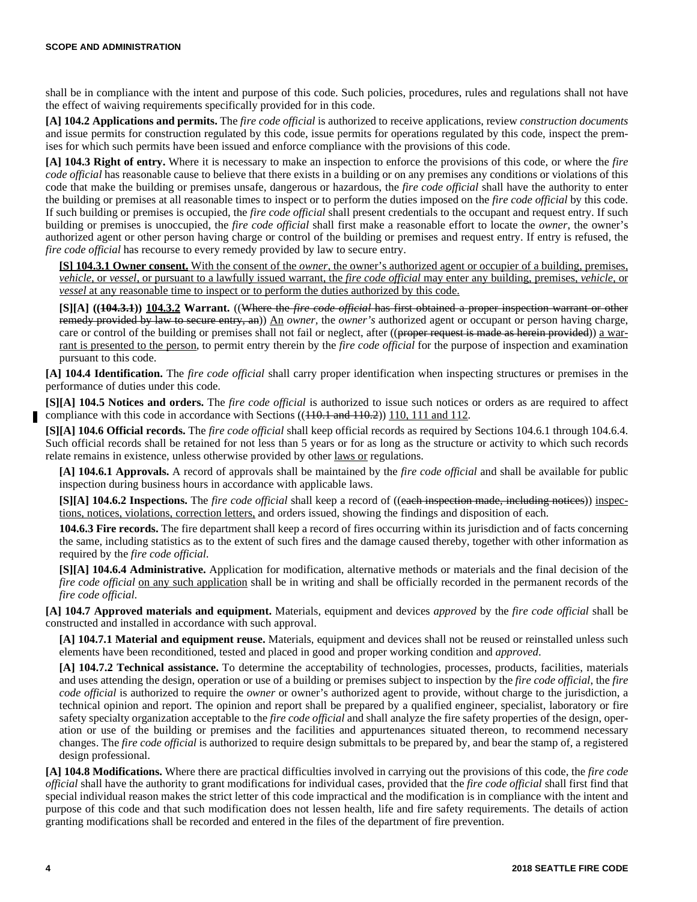shall be in compliance with the intent and purpose of this code. Such policies, procedures, rules and regulations shall not have the effect of waiving requirements specifically provided for in this code.

**[A] 104.2 Applications and permits.** The *fire code official* is authorized to receive applications, review *construction documents* and issue permits for construction regulated by this code, issue permits for operations regulated by this code, inspect the premises for which such permits have been issued and enforce compliance with the provisions of this code.

**[A] 104.3 Right of entry.** Where it is necessary to make an inspection to enforce the provisions of this code, or where the *fire code official* has reasonable cause to believe that there exists in a building or on any premises any conditions or violations of this code that make the building or premises unsafe, dangerous or hazardous, the *fire code official* shall have the authority to enter the building or premises at all reasonable times to inspect or to perform the duties imposed on the *fire code official* by this code. If such building or premises is occupied, the *fire code official* shall present credentials to the occupant and request entry. If such building or premises is unoccupied, the *fire code official* shall first make a reasonable effort to locate the *owner*, the owner's authorized agent or other person having charge or control of the building or premises and request entry. If entry is refused, the *fire code official* has recourse to every remedy provided by law to secure entry.

**[S] 104.3.1 Owner consent.** With the consent of the *owner,* the owner's authorized agent or occupier of a building, premises, *vehicle,* or *vessel,* or pursuant to a lawfully issued warrant, the *fire code official* may enter any building, premises, *vehicle,* or *vessel* at any reasonable time to inspect or to perform the duties authorized by this code.

**[S][A] ((104.3.1)) 104.3.2 Warrant.** ((Where the *fire code official* has first obtained a proper inspection warrant or other remedy provided by law to secure entry, an)) An *owner,* the *owner's* authorized agent or occupant or person having charge, care or control of the building or premises shall not fail or neglect, after ((proper request is made as herein provided)) a warrant is presented to the person, to permit entry therein by the *fire code official* for the purpose of inspection and examination pursuant to this code.

**[A] 104.4 Identification.** The *fire code official* shall carry proper identification when inspecting structures or premises in the performance of duties under this code.

**[S][A] 104.5 Notices and orders.** The *fire code official* is authorized to issue such notices or orders as are required to affect compliance with this code in accordance with Sections  $((110.1 \text{ and } 110.2))$  110, 111 and 112.

**[S][A] 104.6 Official records.** The *fire code official* shall keep official records as required by Sections 104.6.1 through 104.6.4. Such official records shall be retained for not less than 5 years or for as long as the structure or activity to which such records relate remains in existence, unless otherwise provided by other laws or regulations.

**[A] 104.6.1 Approvals.** A record of approvals shall be maintained by the *fire code official* and shall be available for public inspection during business hours in accordance with applicable laws.

**[S][A] 104.6.2 Inspections.** The *fire code official* shall keep a record of ((each inspection made, including notices)) inspections, notices, violations, correction letters, and orders issued, showing the findings and disposition of each.

**104.6.3 Fire records.** The fire department shall keep a record of fires occurring within its jurisdiction and of facts concerning the same, including statistics as to the extent of such fires and the damage caused thereby, together with other information as required by the *fire code official*.

**[S][A] 104.6.4 Administrative.** Application for modification, alternative methods or materials and the final decision of the *fire code official* on any such application shall be in writing and shall be officially recorded in the permanent records of the *fire code official*.

**[A] 104.7 Approved materials and equipment.** Materials, equipment and devices *approved* by the *fire code official* shall be constructed and installed in accordance with such approval.

**[A] 104.7.1 Material and equipment reuse.** Materials, equipment and devices shall not be reused or reinstalled unless such elements have been reconditioned, tested and placed in good and proper working condition and *approved*.

**[A] 104.7.2 Technical assistance.** To determine the acceptability of technologies, processes, products, facilities, materials and uses attending the design, operation or use of a building or premises subject to inspection by the *fire code official*, the *fire code official* is authorized to require the *owner* or owner's authorized agent to provide, without charge to the jurisdiction, a technical opinion and report. The opinion and report shall be prepared by a qualified engineer, specialist, laboratory or fire safety specialty organization acceptable to the *fire code official* and shall analyze the fire safety properties of the design, operation or use of the building or premises and the facilities and appurtenances situated thereon, to recommend necessary changes. The *fire code official* is authorized to require design submittals to be prepared by, and bear the stamp of, a registered design professional.

**[A] 104.8 Modifications.** Where there are practical difficulties involved in carrying out the provisions of this code, the *fire code official* shall have the authority to grant modifications for individual cases, provided that the *fire code official* shall first find that special individual reason makes the strict letter of this code impractical and the modification is in compliance with the intent and purpose of this code and that such modification does not lessen health, life and fire safety requirements. The details of action granting modifications shall be recorded and entered in the files of the department of fire prevention.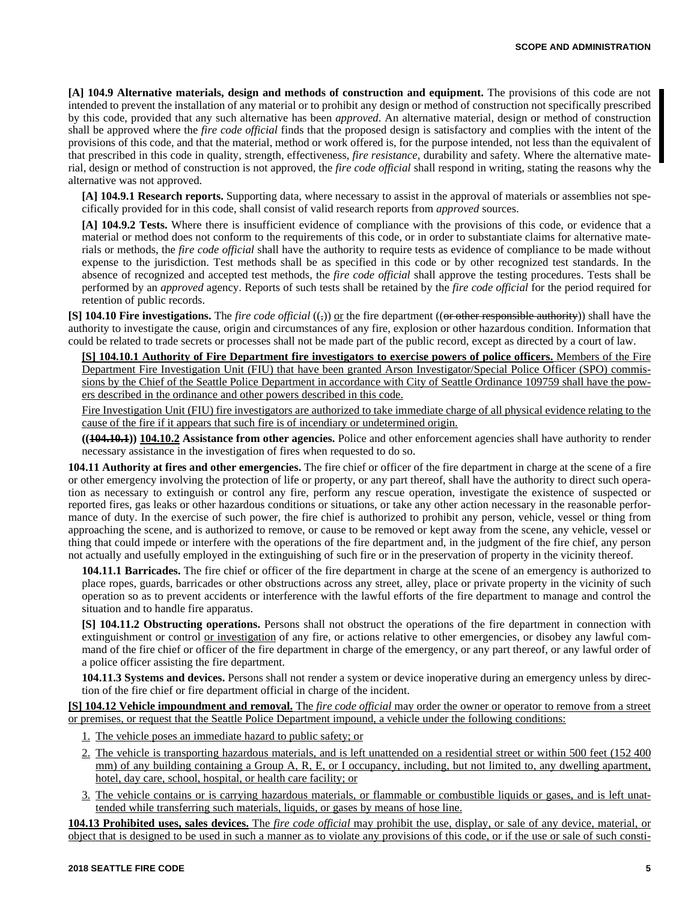**[A] 104.9 Alternative materials, design and methods of construction and equipment.** The provisions of this code are not intended to prevent the installation of any material or to prohibit any design or method of construction not specifically prescribed by this code, provided that any such alternative has been *approved*. An alternative material, design or method of construction shall be approved where the *fire code official* finds that the proposed design is satisfactory and complies with the intent of the provisions of this code, and that the material, method or work offered is, for the purpose intended, not less than the equivalent of that prescribed in this code in quality, strength, effectiveness, *fire resistance*, durability and safety. Where the alternative material, design or method of construction is not approved, the *fire code official* shall respond in writing, stating the reasons why the alternative was not approved.

**[A] 104.9.1 Research reports.** Supporting data, where necessary to assist in the approval of materials or assemblies not specifically provided for in this code, shall consist of valid research reports from *approved* sources.

**[A] 104.9.2 Tests.** Where there is insufficient evidence of compliance with the provisions of this code, or evidence that a material or method does not conform to the requirements of this code, or in order to substantiate claims for alternative materials or methods, the *fire code official* shall have the authority to require tests as evidence of compliance to be made without expense to the jurisdiction. Test methods shall be as specified in this code or by other recognized test standards. In the absence of recognized and accepted test methods, the *fire code official* shall approve the testing procedures. Tests shall be performed by an *approved* agency. Reports of such tests shall be retained by the *fire code official* for the period required for retention of public records.

**[S] 104.10 Fire investigations.** The *fire code official* ((*,*)) or the fire department ((or other responsible authority)) shall have the authority to investigate the cause, origin and circumstances of any fire, explosion or other hazardous condition. Information that could be related to trade secrets or processes shall not be made part of the public record, except as directed by a court of law.

**[S] 104.10.1 Authority of Fire Department fire investigators to exercise powers of police officers.** Members of the Fire Department Fire Investigation Unit (FIU) that have been granted Arson Investigator/Special Police Officer (SPO) commissions by the Chief of the Seattle Police Department in accordance with City of Seattle Ordinance 109759 shall have the powers described in the ordinance and other powers described in this code.

Fire Investigation Unit (FIU) fire investigators are authorized to take immediate charge of all physical evidence relating to the cause of the fire if it appears that such fire is of incendiary or undetermined origin.

**((104.10.1)) 104.10.2 Assistance from other agencies.** Police and other enforcement agencies shall have authority to render necessary assistance in the investigation of fires when requested to do so.

**104.11 Authority at fires and other emergencies.** The fire chief or officer of the fire department in charge at the scene of a fire or other emergency involving the protection of life or property, or any part thereof, shall have the authority to direct such operation as necessary to extinguish or control any fire, perform any rescue operation, investigate the existence of suspected or reported fires, gas leaks or other hazardous conditions or situations, or take any other action necessary in the reasonable performance of duty. In the exercise of such power, the fire chief is authorized to prohibit any person, vehicle, vessel or thing from approaching the scene, and is authorized to remove, or cause to be removed or kept away from the scene, any vehicle, vessel or thing that could impede or interfere with the operations of the fire department and, in the judgment of the fire chief, any person not actually and usefully employed in the extinguishing of such fire or in the preservation of property in the vicinity thereof.

**104.11.1 Barricades.** The fire chief or officer of the fire department in charge at the scene of an emergency is authorized to place ropes, guards, barricades or other obstructions across any street, alley, place or private property in the vicinity of such operation so as to prevent accidents or interference with the lawful efforts of the fire department to manage and control the situation and to handle fire apparatus.

**[S] 104.11.2 Obstructing operations.** Persons shall not obstruct the operations of the fire department in connection with extinguishment or control or investigation of any fire, or actions relative to other emergencies, or disobey any lawful command of the fire chief or officer of the fire department in charge of the emergency, or any part thereof, or any lawful order of a police officer assisting the fire department.

**104.11.3 Systems and devices.** Persons shall not render a system or device inoperative during an emergency unless by direction of the fire chief or fire department official in charge of the incident.

**[S] 104.12 Vehicle impoundment and removal.** The *fire code official* may order the owner or operator to remove from a street or premises, or request that the Seattle Police Department impound, a vehicle under the following conditions:

- 1. The vehicle poses an immediate hazard to public safety; or
- 2. The vehicle is transporting hazardous materials, and is left unattended on a residential street or within 500 feet (152 400 mm) of any building containing a Group A, R, E, or I occupancy, including, but not limited to, any dwelling apartment, hotel, day care, school, hospital, or health care facility; or
- 3. The vehicle contains or is carrying hazardous materials, or flammable or combustible liquids or gases, and is left unattended while transferring such materials, liquids, or gases by means of hose line.

**104.13 Prohibited uses, sales devices.** The *fire code official* may prohibit the use, display, or sale of any device, material, or object that is designed to be used in such a manner as to violate any provisions of this code, or if the use or sale of such consti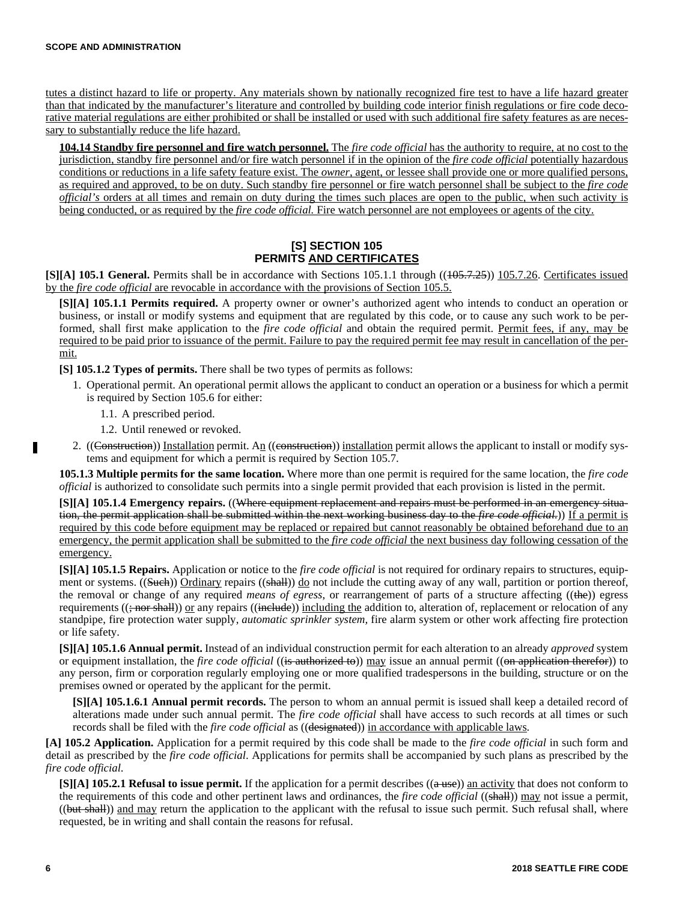tutes a distinct hazard to life or property. Any materials shown by nationally recognized fire test to have a life hazard greater than that indicated by the manufacturer's literature and controlled by building code interior finish regulations or fire code decorative material regulations are either prohibited or shall be installed or used with such additional fire safety features as are necessary to substantially reduce the life hazard.

**104.14 Standby fire personnel and fire watch personnel.** The *fire code official* has the authority to require, at no cost to the jurisdiction, standby fire personnel and/or fire watch personnel if in the opinion of the *fire code official* potentially hazardous conditions or reductions in a life safety feature exist. The *owner,* agent, or lessee shall provide one or more qualified persons, as required and approved, to be on duty. Such standby fire personnel or fire watch personnel shall be subject to the *fire code official's* orders at all times and remain on duty during the times such places are open to the public, when such activity is being conducted, or as required by the *fire code official.* Fire watch personnel are not employees or agents of the city.

### **[S] SECTION 105 PERMITS AND CERTIFICATES**

**[S][A] 105.1 General.** Permits shall be in accordance with Sections 105.1.1 through ((405.7.25)) 105.7.26. Certificates issued by the *fire code official* are revocable in accordance with the provisions of Section 105.5.

**[S][A] 105.1.1 Permits required.** A property owner or owner's authorized agent who intends to conduct an operation or business, or install or modify systems and equipment that are regulated by this code, or to cause any such work to be performed, shall first make application to the *fire code official* and obtain the required permit. Permit fees, if any, may be required to be paid prior to issuance of the permit. Failure to pay the required permit fee may result in cancellation of the permit.

**[S] 105.1.2 Types of permits.** There shall be two types of permits as follows:

- 1. Operational permit. An operational permit allows the applicant to conduct an operation or a business for which a permit is required by Section 105.6 for either:
	- 1.1. A prescribed period.
	- 1.2. Until renewed or revoked.
- 2. ((Construction)) Installation permit. An ((eonstruction)) installation permit allows the applicant to install or modify systems and equipment for which a permit is required by Section 105.7.

**105.1.3 Multiple permits for the same location.** Where more than one permit is required for the same location, the *fire code official* is authorized to consolidate such permits into a single permit provided that each provision is listed in the permit.

**[S][A] 105.1.4 Emergency repairs.** ((Where equipment replacement and repairs must be performed in an emergency situation, the permit application shall be submitted within the next working business day to the *fire code official.*)) If a permit is required by this code before equipment may be replaced or repaired but cannot reasonably be obtained beforehand due to an emergency, the permit application shall be submitted to the *fire code official* the next business day following cessation of the emergency.

**[S][A] 105.1.5 Repairs.** Application or notice to the *fire code official* is not required for ordinary repairs to structures, equipment or systems.  $(\overline{(Such)})$   $\overline{Ordinary}$  repairs  $((shall))$   $\underline{do}$  not include the cutting away of any wall, partition or portion thereof, the removal or change of any required *means of egress*, or rearrangement of parts of a structure affecting ((the)) egress requirements  $((\frac{1}{2} \text{ nor shall}))$  or any repairs  $((\frac{1}{2} \text{ and } \frac{1}{2}))$  including the addition to, alteration of, replacement or relocation of any standpipe, fire protection water supply, *automatic sprinkler system,* fire alarm system or other work affecting fire protection or life safety.

**[S][A] 105.1.6 Annual permit.** Instead of an individual construction permit for each alteration to an already *approved* system or equipment installation, the *fire code official* ((is authorized to)) may issue an annual permit ((on application therefor)) to any person, firm or corporation regularly employing one or more qualified tradespersons in the building, structure or on the premises owned or operated by the applicant for the permit.

**[S][A] 105.1.6.1 Annual permit records.** The person to whom an annual permit is issued shall keep a detailed record of alterations made under such annual permit. The *fire code official* shall have access to such records at all times or such records shall be filed with the *fire code official* as ((designated)) in accordance with applicable laws.

**[A] 105.2 Application.** Application for a permit required by this code shall be made to the *fire code official* in such form and detail as prescribed by the *fire code official*. Applications for permits shall be accompanied by such plans as prescribed by the *fire code official*.

**[S][A] 105.2.1 Refusal to issue permit.** If the application for a permit describes ((a use)) an activity that does not conform to the requirements of this code and other pertinent laws and ordinances, the *fire code official* ((shall)) may not issue a permit, ((but shall)) and may return the application to the applicant with the refusal to issue such permit. Such refusal shall, where requested, be in writing and shall contain the reasons for refusal.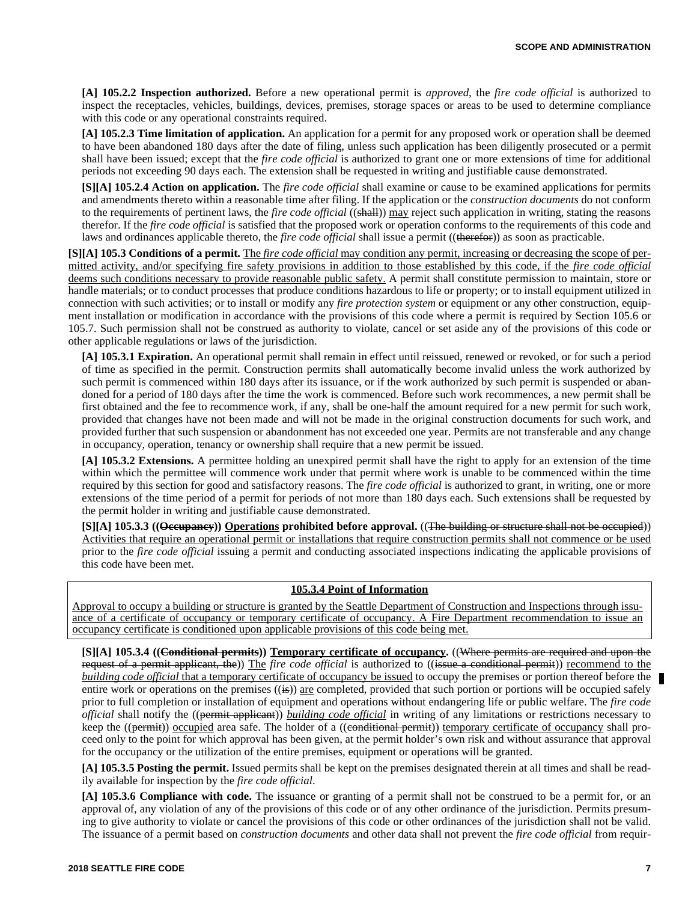**[A] 105.2.2 Inspection authorized.** Before a new operational permit is *approved*, the *fire code official* is authorized to inspect the receptacles, vehicles, buildings, devices, premises, storage spaces or areas to be used to determine compliance with this code or any operational constraints required.

**[A] 105.2.3 Time limitation of application.** An application for a permit for any proposed work or operation shall be deemed to have been abandoned 180 days after the date of filing, unless such application has been diligently prosecuted or a permit shall have been issued; except that the *fire code official* is authorized to grant one or more extensions of time for additional periods not exceeding 90 days each. The extension shall be requested in writing and justifiable cause demonstrated.

**[S][A] 105.2.4 Action on application.** The *fire code official* shall examine or cause to be examined applications for permits and amendments thereto within a reasonable time after filing. If the application or the *construction documents* do not conform to the requirements of pertinent laws, the *fire code official* ((shall)) may reject such application in writing, stating the reasons therefor. If the *fire code official* is satisfied that the proposed work or operation conforms to the requirements of this code and laws and ordinances applicable thereto, the *fire code official* shall issue a permit ((therefor)) as soon as practicable.

**[S][A] 105.3 Conditions of a permit.** The *fire code official* may condition any permit, increasing or decreasing the scope of permitted activity, and/or specifying fire safety provisions in addition to those established by this code, if the *fire code official* deems such conditions necessary to provide reasonable public safety. A permit shall constitute permission to maintain, store or handle materials; or to conduct processes that produce conditions hazardous to life or property; or to install equipment utilized in connection with such activities; or to install or modify any *fire protection system* or equipment or any other construction, equipment installation or modification in accordance with the provisions of this code where a permit is required by Section 105.6 or 105.7. Such permission shall not be construed as authority to violate, cancel or set aside any of the provisions of this code or other applicable regulations or laws of the jurisdiction.

**[A] 105.3.1 Expiration.** An operational permit shall remain in effect until reissued, renewed or revoked, or for such a period of time as specified in the permit. Construction permits shall automatically become invalid unless the work authorized by such permit is commenced within 180 days after its issuance, or if the work authorized by such permit is suspended or abandoned for a period of 180 days after the time the work is commenced. Before such work recommences, a new permit shall be first obtained and the fee to recommence work, if any, shall be one-half the amount required for a new permit for such work, provided that changes have not been made and will not be made in the original construction documents for such work, and provided further that such suspension or abandonment has not exceeded one year. Permits are not transferable and any change in occupancy, operation, tenancy or ownership shall require that a new permit be issued.

**[A] 105.3.2 Extensions.** A permittee holding an unexpired permit shall have the right to apply for an extension of the time within which the permittee will commence work under that permit where work is unable to be commenced within the time required by this section for good and satisfactory reasons. The *fire code official* is authorized to grant, in writing, one or more extensions of the time period of a permit for periods of not more than 180 days each. Such extensions shall be requested by the permit holder in writing and justifiable cause demonstrated.

**[S][A] 105.3.3 ((Occupancy)) Operations prohibited before approval.** ((The building or structure shall not be occupied)) Activities that require an operational permit or installations that require construction permits shall not commence or be used prior to the *fire code official* issuing a permit and conducting associated inspections indicating the applicable provisions of this code have been met.

### **105.3.4 Point of Information**

Approval to occupy a building or structure is granted by the Seattle Department of Construction and Inspections through issuance of a certificate of occupancy or temporary certificate of occupancy. A Fire Department recommendation to issue an occupancy certificate is conditioned upon applicable provisions of this code being met.

**[S][A] 105.3.4 ((Conditional permits)) Temporary certificate of occupancy.** ((Where permits are required and upon the request of a permit applicant, the)) The *fire code official* is authorized to ((issue a conditional permit)) recommend to the *building code official that a temporary certificate of occupancy be issued to occupy the premises or portion thereof before the* entire work or operations on the premises  $((\mathbf{is}))$  are completed, provided that such portion or portions will be occupied safely prior to full completion or installation of equipment and operations without endangering life or public welfare. The *fire code official* shall notify the ((permit applicant)) *building code official* in writing of any limitations or restrictions necessary to keep the ((permit)) occupied area safe. The holder of a ((eonditional permit)) temporary certificate of occupancy shall proceed only to the point for which approval has been given, at the permit holder's own risk and without assurance that approval for the occupancy or the utilization of the entire premises, equipment or operations will be granted.

**[A] 105.3.5 Posting the permit.** Issued permits shall be kept on the premises designated therein at all times and shall be readily available for inspection by the *fire code official*.

**[A] 105.3.6 Compliance with code.** The issuance or granting of a permit shall not be construed to be a permit for, or an approval of, any violation of any of the provisions of this code or of any other ordinance of the jurisdiction. Permits presuming to give authority to violate or cancel the provisions of this code or other ordinances of the jurisdiction shall not be valid. The issuance of a permit based on *construction documents* and other data shall not prevent the *fire code official* from requir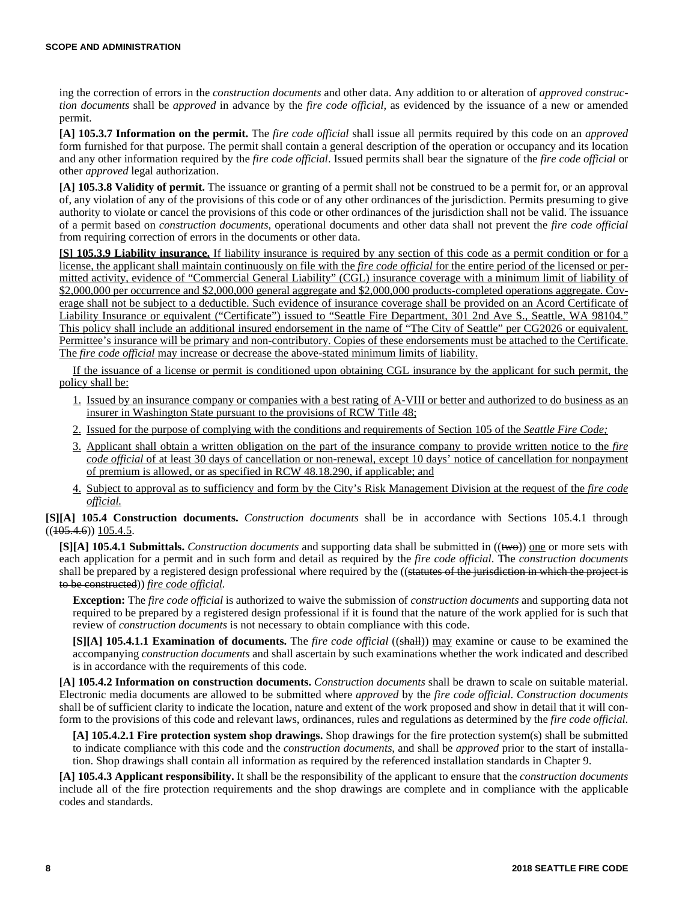ing the correction of errors in the *construction documents* and other data. Any addition to or alteration of *approved construction documents* shall be *approved* in advance by the *fire code official*, as evidenced by the issuance of a new or amended permit.

**[A] 105.3.7 Information on the permit.** The *fire code official* shall issue all permits required by this code on an *approved* form furnished for that purpose. The permit shall contain a general description of the operation or occupancy and its location and any other information required by the *fire code official*. Issued permits shall bear the signature of the *fire code official* or other *approved* legal authorization.

**[A] 105.3.8 Validity of permit.** The issuance or granting of a permit shall not be construed to be a permit for, or an approval of, any violation of any of the provisions of this code or of any other ordinances of the jurisdiction. Permits presuming to give authority to violate or cancel the provisions of this code or other ordinances of the jurisdiction shall not be valid. The issuance of a permit based on *construction documents*, operational documents and other data shall not prevent the *fire code official* from requiring correction of errors in the documents or other data.

**[S] 105.3.9 Liability insurance.** If liability insurance is required by any section of this code as a permit condition or for a license, the applicant shall maintain continuously on file with the *fire code official* for the entire period of the licensed or permitted activity, evidence of "Commercial General Liability" (CGL) insurance coverage with a minimum limit of liability of \$2,000,000 per occurrence and \$2,000,000 general aggregate and \$2,000,000 products-completed operations aggregate. Coverage shall not be subject to a deductible. Such evidence of insurance coverage shall be provided on an Acord Certificate of Liability Insurance or equivalent ("Certificate") issued to "Seattle Fire Department, 301 2nd Ave S., Seattle, WA 98104." This policy shall include an additional insured endorsement in the name of "The City of Seattle" per CG2026 or equivalent. Permittee's insurance will be primary and non-contributory. Copies of these endorsements must be attached to the Certificate. The *fire code official* may increase or decrease the above-stated minimum limits of liability.

If the issuance of a license or permit is conditioned upon obtaining CGL insurance by the applicant for such permit, the policy shall be:

- 1. Issued by an insurance company or companies with a best rating of A-VIII or better and authorized to do business as an insurer in Washington State pursuant to the provisions of RCW Title 48;
- 2. Issued for the purpose of complying with the conditions and requirements of Section 105 of the *Seattle Fire Code;*
- 3. Applicant shall obtain a written obligation on the part of the insurance company to provide written notice to the *fire code official* of at least 30 days of cancellation or non-renewal, except 10 days' notice of cancellation for nonpayment of premium is allowed, or as specified in RCW 48.18.290, if applicable; and
- 4. Subject to approval as to sufficiency and form by the City's Risk Management Division at the request of the *fire code official.*

**[S][A] 105.4 Construction documents.** *Construction documents* shall be in accordance with Sections 105.4.1 through  $((105.4.6))$  105.4.5.

**[S][A] 105.4.1 Submittals.** *Construction documents* and supporting data shall be submitted in ((two)) one or more sets with each application for a permit and in such form and detail as required by the *fire code official*. The *construction documents* shall be prepared by a registered design professional where required by the ((statutes of the jurisdiction in which the project is to be constructed)) *fire code official.*

**Exception:** The *fire code official* is authorized to waive the submission of *construction documents* and supporting data not required to be prepared by a registered design professional if it is found that the nature of the work applied for is such that review of *construction documents* is not necessary to obtain compliance with this code.

**[S][A] 105.4.1.1 Examination of documents.** The *fire code official* ((shall)) may examine or cause to be examined the accompanying *construction documents* and shall ascertain by such examinations whether the work indicated and described is in accordance with the requirements of this code.

**[A] 105.4.2 Information on construction documents.** *Construction documents* shall be drawn to scale on suitable material. Electronic media documents are allowed to be submitted where *approved* by the *fire code official*. *Construction documents* shall be of sufficient clarity to indicate the location, nature and extent of the work proposed and show in detail that it will conform to the provisions of this code and relevant laws, ordinances, rules and regulations as determined by the *fire code official*.

**[A] 105.4.2.1 Fire protection system shop drawings.** Shop drawings for the fire protection system(s) shall be submitted to indicate compliance with this code and the *construction documents*, and shall be *approved* prior to the start of installation. Shop drawings shall contain all information as required by the referenced installation standards in Chapter 9.

**[A] 105.4.3 Applicant responsibility.** It shall be the responsibility of the applicant to ensure that the *construction documents* include all of the fire protection requirements and the shop drawings are complete and in compliance with the applicable codes and standards.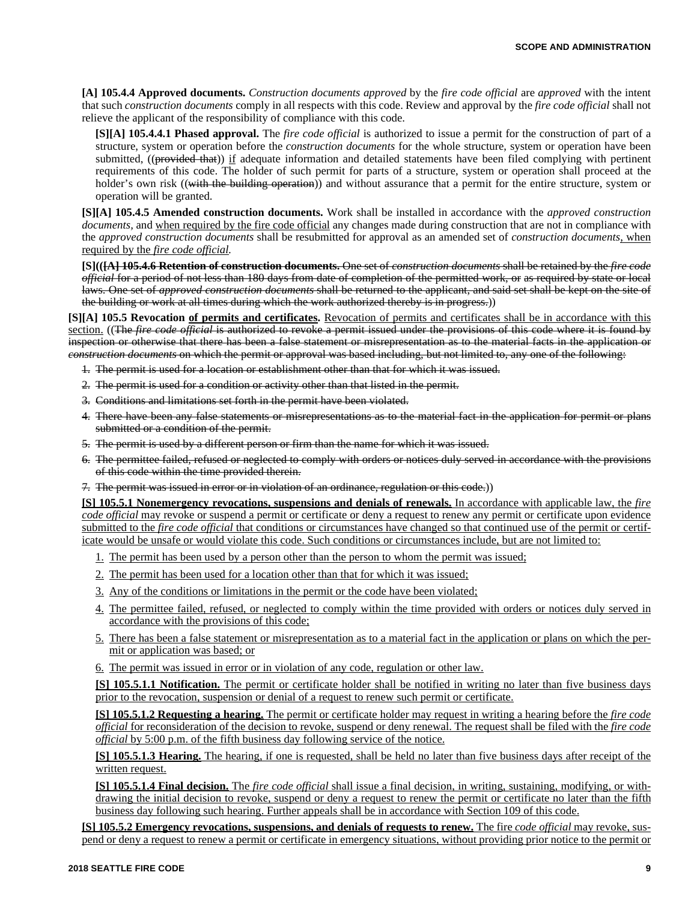**[A] 105.4.4 Approved documents.** *Construction documents approved* by the *fire code official* are *approved* with the intent that such *construction documents* comply in all respects with this code. Review and approval by the *fire code official* shall not relieve the applicant of the responsibility of compliance with this code.

**[S][A] 105.4.4.1 Phased approval.** The *fire code official* is authorized to issue a permit for the construction of part of a structure, system or operation before the *construction documents* for the whole structure, system or operation have been submitted, ((provided that)) if adequate information and detailed statements have been filed complying with pertinent requirements of this code. The holder of such permit for parts of a structure, system or operation shall proceed at the holder's own risk ((with the building operation)) and without assurance that a permit for the entire structure, system or operation will be granted.

**[S][A] 105.4.5 Amended construction documents.** Work shall be installed in accordance with the *approved construction documents,* and when required by the fire code official any changes made during construction that are not in compliance with the *approved construction documents* shall be resubmitted for approval as an amended set of *construction documents*, when required by the *fire code official.*

**[S](([A] 105.4.6 Retention of construction documents.** One set of *construction documents* shall be retained by the *fire code official* for a period of not less than 180 days from date of completion of the permitted work, or as required by state or local laws. One set of *approved construction documents* shall be returned to the applicant, and said set shall be kept on the site of the building or work at all times during which the work authorized thereby is in progress.))

**[S][A] 105.5 Revocation of permits and certificates.** Revocation of permits and certificates shall be in accordance with this section. ((The *fire code official* is authorized to revoke a permit issued under the provisions of this code where it is found by inspection or otherwise that there has been a false statement or misrepresentation as to the material facts in the application or *construction documents* on which the permit or approval was based including, but not limited to, any one of the following:

- 1. The permit is used for a location or establishment other than that for which it was issued.
- 2. The permit is used for a condition or activity other than that listed in the permit.
- 3. Conditions and limitations set forth in the permit have been violated.
- 4. There have been any false statements or misrepresentations as to the material fact in the application for permit or plans submitted or a condition of the permit.
- 5. The permit is used by a different person or firm than the name for which it was issued.
- 6. The permittee failed, refused or neglected to comply with orders or notices duly served in accordance with the provisions of this code within the time provided therein.
- 7. The permit was issued in error or in violation of an ordinance, regulation or this code.))

**[S] 105.5.1 Nonemergency revocations, suspensions and denials of renewals.** In accordance with applicable law, the *fire code official* may revoke or suspend a permit or certificate or deny a request to renew any permit or certificate upon evidence submitted to the *fire code official* that conditions or circumstances have changed so that continued use of the permit or certificate would be unsafe or would violate this code. Such conditions or circumstances include, but are not limited to:

- 1. The permit has been used by a person other than the person to whom the permit was issued;
- 2. The permit has been used for a location other than that for which it was issued;
- 3. Any of the conditions or limitations in the permit or the code have been violated;
- 4. The permittee failed, refused, or neglected to comply within the time provided with orders or notices duly served in accordance with the provisions of this code;
- 5. There has been a false statement or misrepresentation as to a material fact in the application or plans on which the permit or application was based; or
- 6. The permit was issued in error or in violation of any code, regulation or other law.

**[S] 105.5.1.1 Notification.** The permit or certificate holder shall be notified in writing no later than five business days prior to the revocation, suspension or denial of a request to renew such permit or certificate.

**[S] 105.5.1.2 Requesting a hearing.** The permit or certificate holder may request in writing a hearing before the *fire code official* for reconsideration of the decision to revoke, suspend or deny renewal. The request shall be filed with the *fire code official* by 5:00 p.m. of the fifth business day following service of the notice.

**[S] 105.5.1.3 Hearing.** The hearing, if one is requested, shall be held no later than five business days after receipt of the written request.

**[S] 105.5.1.4 Final decision.** The *fire code official* shall issue a final decision, in writing, sustaining, modifying, or withdrawing the initial decision to revoke, suspend or deny a request to renew the permit or certificate no later than the fifth business day following such hearing. Further appeals shall be in accordance with Section 109 of this code.

**[S] 105.5.2 Emergency revocations, suspensions, and denials of requests to renew.** The fire *code official* may revoke, suspend or deny a request to renew a permit or certificate in emergency situations, without providing prior notice to the permit or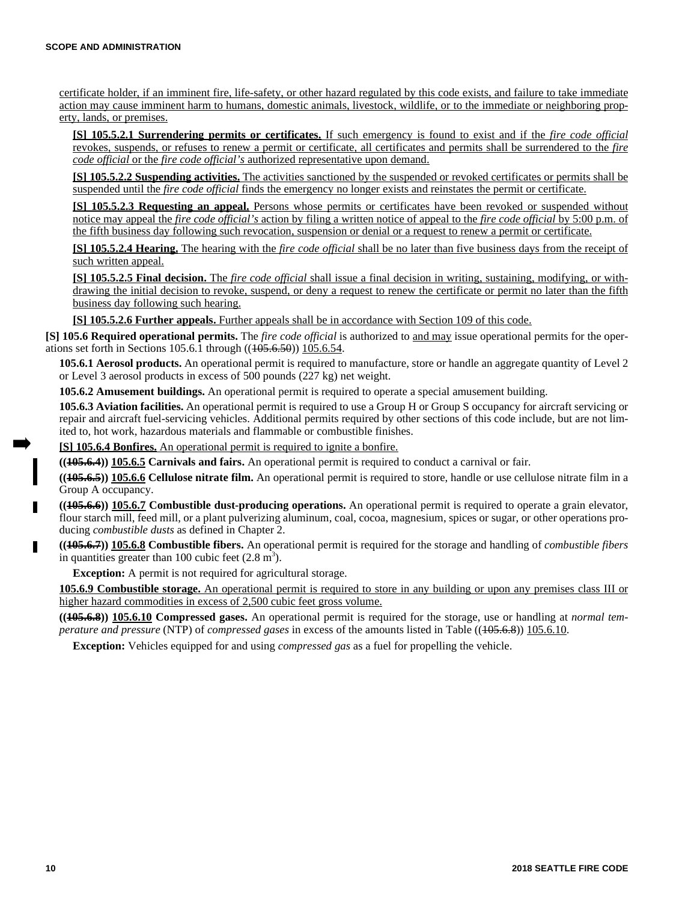certificate holder, if an imminent fire, life-safety, or other hazard regulated by this code exists, and failure to take immediate action may cause imminent harm to humans, domestic animals, livestock, wildlife, or to the immediate or neighboring property, lands, or premises.

**[S] 105.5.2.1 Surrendering permits or certificates.** If such emergency is found to exist and if the *fire code official* revokes, suspends, or refuses to renew a permit or certificate, all certificates and permits shall be surrendered to the *fire code official* or the *fire code official's* authorized representative upon demand.

**[S] 105.5.2.2 Suspending activities.** The activities sanctioned by the suspended or revoked certificates or permits shall be suspended until the *fire code official* finds the emergency no longer exists and reinstates the permit or certificate.

**[S] 105.5.2.3 Requesting an appeal.** Persons whose permits or certificates have been revoked or suspended without notice may appeal the *fire code official's* action by filing a written notice of appeal to the *fire code official* by 5:00 p.m. of the fifth business day following such revocation, suspension or denial or a request to renew a permit or certificate.

**[S] 105.5.2.4 Hearing.** The hearing with the *fire code official* shall be no later than five business days from the receipt of such written appeal.

**[S] 105.5.2.5 Final decision.** The *fire code official* shall issue a final decision in writing, sustaining, modifying, or withdrawing the initial decision to revoke, suspend, or deny a request to renew the certificate or permit no later than the fifth business day following such hearing.

**[S] 105.5.2.6 Further appeals.** Further appeals shall be in accordance with Section 109 of this code.

**[S] 105.6 Required operational permits.** The *fire code official* is authorized to and may issue operational permits for the operations set forth in Sections 105.6.1 through ((105.6.50)) 105.6.54.

**105.6.1 Aerosol products.** An operational permit is required to manufacture, store or handle an aggregate quantity of Level 2 or Level 3 aerosol products in excess of 500 pounds (227 kg) net weight.

**105.6.2 Amusement buildings.** An operational permit is required to operate a special amusement building.

**105.6.3 Aviation facilities.** An operational permit is required to use a Group H or Group S occupancy for aircraft servicing or repair and aircraft fuel-servicing vehicles. Additional permits required by other sections of this code include, but are not limited to, hot work, hazardous materials and flammable or combustible finishes.

**[S] 105.6.4 Bonfires.** An operational permit is required to ignite a bonfire.

**((105.6.4)) 105.6.5 Carnivals and fairs.** An operational permit is required to conduct a carnival or fair.

**((105.6.5)) 105.6.6 Cellulose nitrate film.** An operational permit is required to store, handle or use cellulose nitrate film in a Group A occupancy.

- **((105.6.6)) 105.6.7 Combustible dust-producing operations.** An operational permit is required to operate a grain elevator, flour starch mill, feed mill, or a plant pulverizing aluminum, coal, cocoa, magnesium, spices or sugar, or other operations producing *combustible dusts* as defined in Chapter 2.
- **((105.6.7)) 105.6.8 Combustible fibers.** An operational permit is required for the storage and handling of *combustible fibers* in quantities greater than 100 cubic feet  $(2.8 \text{ m}^3)$ .

**Exception:** A permit is not required for agricultural storage.

**105.6.9 Combustible storage.** An operational permit is required to store in any building or upon any premises class III or higher hazard commodities in excess of 2,500 cubic feet gross volume.

**((105.6.8)) 105.6.10 Compressed gases.** An operational permit is required for the storage, use or handling at *normal temperature and pressure* (NTP) of *compressed gases* in excess of the amounts listed in Table ((105.6.8)) 105.6.10.

**Exception:** Vehicles equipped for and using *compressed gas* as a fuel for propelling the vehicle.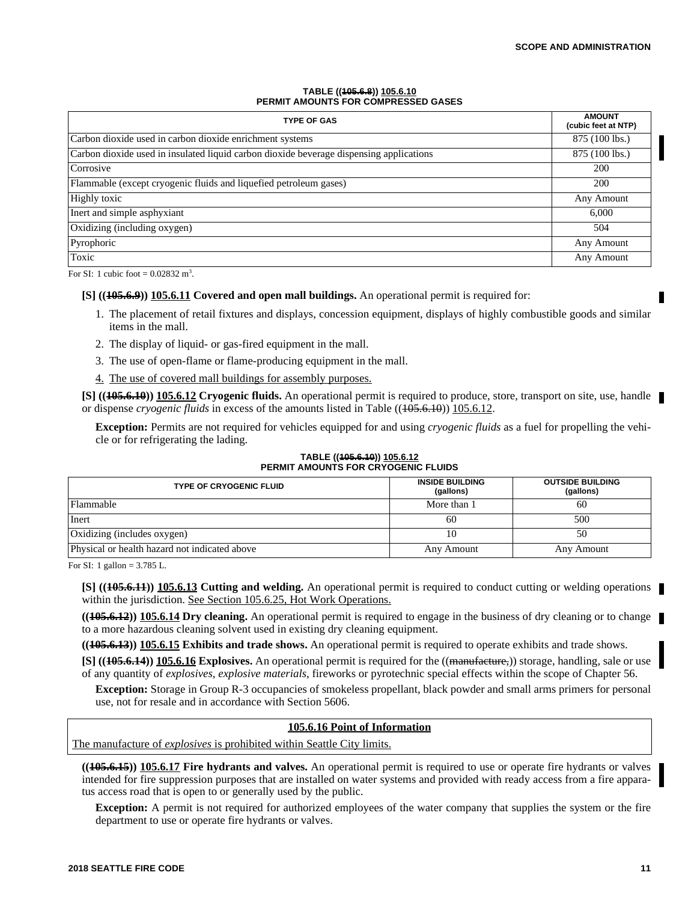#### **TABLE ((105.6.8)) 105.6.10 PERMIT AMOUNTS FOR COMPRESSED GASES**

| <b>TYPE OF GAS</b>                                                                      | <b>AMOUNT</b><br>(cubic feet at NTP) |
|-----------------------------------------------------------------------------------------|--------------------------------------|
| Carbon dioxide used in carbon dioxide enrichment systems                                | 875 (100 lbs.)                       |
| Carbon dioxide used in insulated liquid carbon dioxide beverage dispensing applications | 875 (100 lbs.)                       |
| Corrosive                                                                               | <b>200</b>                           |
| Flammable (except cryogenic fluids and liquefied petroleum gases)                       | 200                                  |
| Highly toxic                                                                            | Any Amount                           |
| Inert and simple asphyxiant                                                             | 6.000                                |
| Oxidizing (including oxygen)                                                            | 504                                  |
| Pyrophoric                                                                              | Any Amount                           |
| Toxic                                                                                   | Any Amount                           |

For SI: 1 cubic foot  $= 0.02832 \text{ m}^3$ .

#### **[S] ((105.6.9)) 105.6.11 Covered and open mall buildings.** An operational permit is required for:

- 1. The placement of retail fixtures and displays, concession equipment, displays of highly combustible goods and similar items in the mall.
- 2. The display of liquid- or gas-fired equipment in the mall.
- 3. The use of open-flame or flame-producing equipment in the mall.
- 4. The use of covered mall buildings for assembly purposes.

**[S] ((105.6.10)) 105.6.12 Cryogenic fluids.** An operational permit is required to produce, store, transport on site, use, handle or dispense *cryogenic fluids* in excess of the amounts listed in Table ((105.6.10)) 105.6.12.

**Exception:** Permits are not required for vehicles equipped for and using *cryogenic fluids* as a fuel for propelling the vehicle or for refrigerating the lading.

#### **TABLE ((105.6.10)) 105.6.12 PERMIT AMOUNTS FOR CRYOGENIC FLUIDS**

| <b>TYPE OF CRYOGENIC FLUID</b>                | <b>INSIDE BUILDING</b><br>(gallons) | <b>OUTSIDE BUILDING</b><br>(gallons) |
|-----------------------------------------------|-------------------------------------|--------------------------------------|
| <b>Flammable</b>                              | More than 1                         | 60                                   |
| Inert                                         | 60                                  | 500                                  |
| Oxidizing (includes oxygen)                   |                                     | 50                                   |
| Physical or health hazard not indicated above | Any Amount                          | Any Amount                           |

For SI: 1 gallon = 3.785 L.

**[S] ((105.6.11)) 105.6.13 Cutting and welding.** An operational permit is required to conduct cutting or welding operations within the jurisdiction. See Section 105.6.25, Hot Work Operations.

**((105.6.12)) 105.6.14 Dry cleaning.** An operational permit is required to engage in the business of dry cleaning or to change to a more hazardous cleaning solvent used in existing dry cleaning equipment.

**((105.6.13)) 105.6.15 Exhibits and trade shows.** An operational permit is required to operate exhibits and trade shows.

**[S] ((105.6.14)) 105.6.16 Explosives.** An operational permit is required for the ((manufacture,)) storage, handling, sale or use of any quantity of *explosives*, *explosive materials*, fireworks or pyrotechnic special effects within the scope of Chapter 56.

**Exception:** Storage in Group R-3 occupancies of smokeless propellant, black powder and small arms primers for personal use, not for resale and in accordance with Section 5606.

### **105.6.16 Point of Information**

The manufacture of *explosives* is prohibited within Seattle City limits.

**((105.6.15)) 105.6.17 Fire hydrants and valves.** An operational permit is required to use or operate fire hydrants or valves intended for fire suppression purposes that are installed on water systems and provided with ready access from a fire apparatus access road that is open to or generally used by the public.

**Exception:** A permit is not required for authorized employees of the water company that supplies the system or the fire department to use or operate fire hydrants or valves.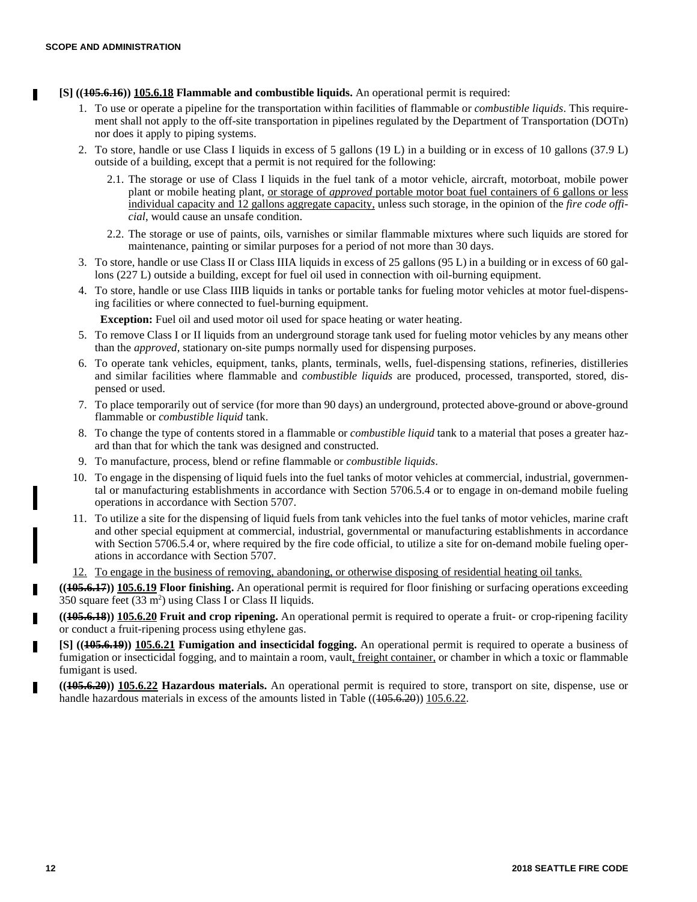### **[S] ((105.6.16)) 105.6.18 Flammable and combustible liquids.** An operational permit is required:

- 1. To use or operate a pipeline for the transportation within facilities of flammable or *combustible liquids*. This requirement shall not apply to the off-site transportation in pipelines regulated by the Department of Transportation (DOTn) nor does it apply to piping systems.
- 2. To store, handle or use Class I liquids in excess of 5 gallons (19 L) in a building or in excess of 10 gallons (37.9 L) outside of a building, except that a permit is not required for the following:
	- 2.1. The storage or use of Class I liquids in the fuel tank of a motor vehicle, aircraft, motorboat, mobile power plant or mobile heating plant, or storage of *approved* portable motor boat fuel containers of 6 gallons or less individual capacity and 12 gallons aggregate capacity, unless such storage, in the opinion of the *fire code official*, would cause an unsafe condition.
	- 2.2. The storage or use of paints, oils, varnishes or similar flammable mixtures where such liquids are stored for maintenance, painting or similar purposes for a period of not more than 30 days.
- 3. To store, handle or use Class II or Class IIIA liquids in excess of 25 gallons (95 L) in a building or in excess of 60 gallons (227 L) outside a building, except for fuel oil used in connection with oil-burning equipment.
- 4. To store, handle or use Class IIIB liquids in tanks or portable tanks for fueling motor vehicles at motor fuel-dispensing facilities or where connected to fuel-burning equipment.

**Exception:** Fuel oil and used motor oil used for space heating or water heating.

- 5. To remove Class I or II liquids from an underground storage tank used for fueling motor vehicles by any means other than the *approved*, stationary on-site pumps normally used for dispensing purposes.
- 6. To operate tank vehicles, equipment, tanks, plants, terminals, wells, fuel-dispensing stations, refineries, distilleries and similar facilities where flammable and *combustible liquids* are produced, processed, transported, stored, dispensed or used.
- 7. To place temporarily out of service (for more than 90 days) an underground, protected above-ground or above-ground flammable or *combustible liquid* tank.
- 8. To change the type of contents stored in a flammable or *combustible liquid* tank to a material that poses a greater hazard than that for which the tank was designed and constructed.
- 9. To manufacture, process, blend or refine flammable or *combustible liquids*.
- 10. To engage in the dispensing of liquid fuels into the fuel tanks of motor vehicles at commercial, industrial, governmental or manufacturing establishments in accordance with Section 5706.5.4 or to engage in on-demand mobile fueling operations in accordance with Section 5707.
- 11. To utilize a site for the dispensing of liquid fuels from tank vehicles into the fuel tanks of motor vehicles, marine craft and other special equipment at commercial, industrial, governmental or manufacturing establishments in accordance with Section 5706.5.4 or, where required by the fire code official, to utilize a site for on-demand mobile fueling operations in accordance with Section 5707.
- 12. To engage in the business of removing, abandoning, or otherwise disposing of residential heating oil tanks.

**((105.6.17)) 105.6.19 Floor finishing.** An operational permit is required for floor finishing or surfacing operations exceeding 350 square feet  $(33 \text{ m}^2)$  using Class I or Class II liquids.

**((105.6.18)) 105.6.20 Fruit and crop ripening.** An operational permit is required to operate a fruit- or crop-ripening facility or conduct a fruit-ripening process using ethylene gas.

**[S] ((105.6.19)) 105.6.21 Fumigation and insecticidal fogging.** An operational permit is required to operate a business of fumigation or insecticidal fogging, and to maintain a room, vault, freight container, or chamber in which a toxic or flammable fumigant is used.

**((105.6.20)) 105.6.22 Hazardous materials.** An operational permit is required to store, transport on site, dispense, use or handle hazardous materials in excess of the amounts listed in Table  $((105.6.20))$  105.6.22.

п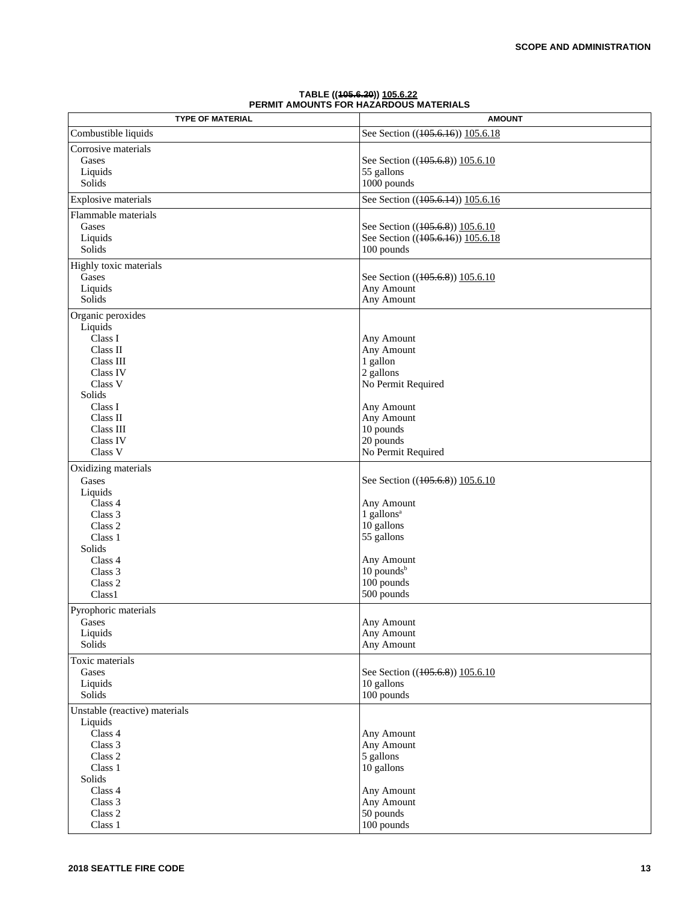| <b>TYPE OF MATERIAL</b>       | <b>AMOUNT</b>                                   |
|-------------------------------|-------------------------------------------------|
| Combustible liquids           | See Section ((405.6.16)) 105.6.18               |
| Corrosive materials           |                                                 |
| Gases                         | See Section ((105.6.8)) 105.6.10                |
| Liquids                       | 55 gallons                                      |
| Solids                        | 1000 pounds                                     |
|                               |                                                 |
| Explosive materials           | See Section ((105.6.14)) 105.6.16               |
| Flammable materials           |                                                 |
| Gases                         | See Section ((405.6.8)) 105.6.10                |
| Liquids<br>Solids             | See Section ((105.6.16)) 105.6.18<br>100 pounds |
|                               |                                                 |
| Highly toxic materials        |                                                 |
| Gases                         | See Section ((405.6.8)) 105.6.10                |
| Liquids                       | Any Amount                                      |
| Solids                        | Any Amount                                      |
| Organic peroxides             |                                                 |
| Liquids                       |                                                 |
| Class I                       | Any Amount                                      |
| Class II                      | Any Amount                                      |
| Class III                     | 1 gallon                                        |
| Class IV                      | 2 gallons                                       |
| Class V                       | No Permit Required                              |
| Solids<br>Class I             |                                                 |
| Class II                      | Any Amount                                      |
| Class III                     | Any Amount<br>10 pounds                         |
| Class IV                      | 20 pounds                                       |
| Class V                       | No Permit Required                              |
|                               |                                                 |
| Oxidizing materials           |                                                 |
| Gases                         | See Section ((405.6.8)) 105.6.10                |
| Liquids                       |                                                 |
| Class 4<br>Class 3            | Any Amount<br>1 gallons <sup>a</sup>            |
| Class 2                       | 10 gallons                                      |
| Class 1                       | 55 gallons                                      |
| Solids                        |                                                 |
| Class 4                       | Any Amount                                      |
| Class 3                       | $10$ pounds <sup>b</sup>                        |
| Class 2                       | $100$ pounds                                    |
| Class <sub>1</sub>            | 500 pounds                                      |
| Pyrophoric materials          |                                                 |
| Gases                         | Any Amount                                      |
| Liquids                       | Any Amount                                      |
| Solids                        | Any Amount                                      |
| Toxic materials               |                                                 |
| Gases                         | See Section ((405.6.8)) 105.6.10                |
| Liquids                       | 10 gallons                                      |
| Solids                        | 100 pounds                                      |
| Unstable (reactive) materials |                                                 |
| Liquids                       |                                                 |
| Class 4                       | Any Amount                                      |
| Class 3                       | Any Amount                                      |
| Class 2                       | 5 gallons                                       |
| Class 1                       | 10 gallons                                      |
| Solids                        |                                                 |
| Class 4                       | Any Amount                                      |
| Class 3                       | Any Amount                                      |
| Class 2                       | 50 pounds                                       |
| Class 1                       | 100 pounds                                      |

#### **TABLE ((105.6.20)) 105.6.22 PERMIT AMOUNTS FOR HAZARDOUS MATERIALS**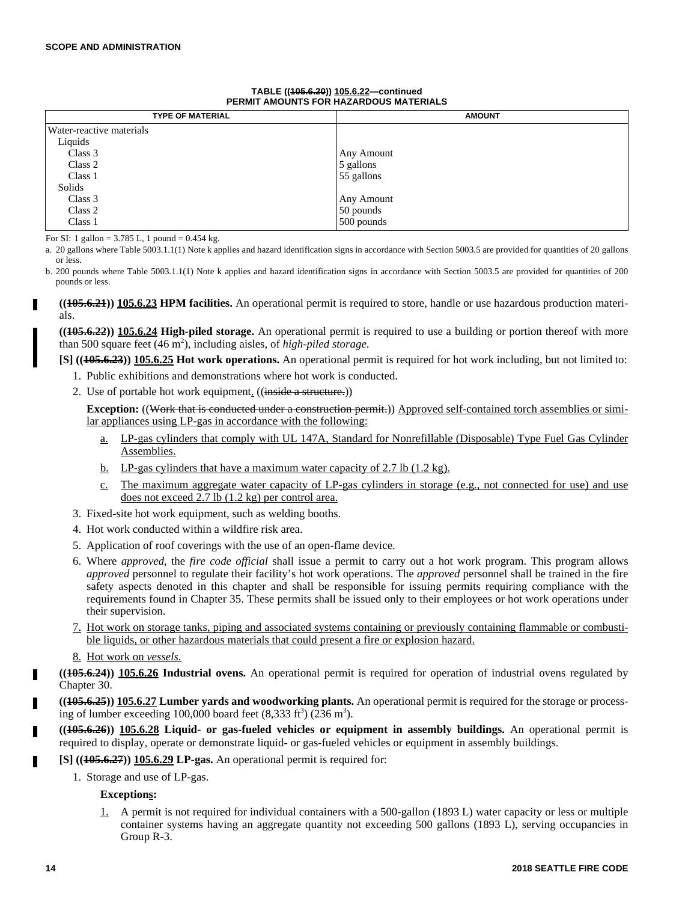| PERMIT AMOUNTS FOR HAZARDOUS MATERIALS |               |  |
|----------------------------------------|---------------|--|
| <b>TYPE OF MATERIAL</b>                | <b>AMOUNT</b> |  |
| Water-reactive materials               |               |  |
| Liquids                                |               |  |
| Class 3                                | Any Amount    |  |
| Class 2                                | 5 gallons     |  |
| Class 1                                | 55 gallons    |  |
| Solids                                 |               |  |
| Class 3                                | Any Amount    |  |
| Class 2                                | 50 pounds     |  |
| Class 1                                | 500 pounds    |  |
|                                        |               |  |

#### **TABLE ((105.6.20)) 105.6.22—continued PERMIT AMOUNTS FOR HAZARDOUS MATERIALS**

For SI: 1 gallon =  $3.785$  L, 1 pound =  $0.454$  kg.

a. 20 gallons where Table 5003.1.1(1) Note k applies and hazard identification signs in accordance with Section 5003.5 are provided for quantities of 20 gallons or less.

b. 200 pounds where Table 5003.1.1(1) Note k applies and hazard identification signs in accordance with Section 5003.5 are provided for quantities of 200 pounds or less.

**((105.6.21)) 105.6.23 HPM facilities.** An operational permit is required to store, handle or use hazardous production materials.

**((105.6.22)) 105.6.24 High-piled storage.** An operational permit is required to use a building or portion thereof with more than 500 square feet  $(46 \text{ m}^2)$ , including aisles, of *high-piled storage*.

**[S] ((105.6.23)) 105.6.25 Hot work operations.** An operational permit is required for hot work including, but not limited to:

- 1. Public exhibitions and demonstrations where hot work is conducted.
- 2. Use of portable hot work equipment. ((inside a structure.))

**Exception:** ((Work that is conducted under a construction permit.)) Approved self-contained torch assemblies or similar appliances using LP-gas in accordance with the following:

- a. LP-gas cylinders that comply with UL 147A, Standard for Nonrefillable (Disposable) Type Fuel Gas Cylinder Assemblies.
- b. LP-gas cylinders that have a maximum water capacity of  $2.7$  lb  $(1.2 \text{ kg})$ .
- c. The maximum aggregate water capacity of LP-gas cylinders in storage (e.g., not connected for use) and use does not exceed 2.7 lb (1.2 kg) per control area.
- 3. Fixed-site hot work equipment, such as welding booths.
- 4. Hot work conducted within a wildfire risk area.
- 5. Application of roof coverings with the use of an open-flame device.
- 6. Where *approved*, the *fire code official* shall issue a permit to carry out a hot work program. This program allows *approved* personnel to regulate their facility's hot work operations. The *approved* personnel shall be trained in the fire safety aspects denoted in this chapter and shall be responsible for issuing permits requiring compliance with the requirements found in Chapter 35. These permits shall be issued only to their employees or hot work operations under their supervision.
- 7. Hot work on storage tanks, piping and associated systems containing or previously containing flammable or combustible liquids, or other hazardous materials that could present a fire or explosion hazard.
- 8. Hot work on *vessels.*
- **((105.6.24)) 105.6.26 Industrial ovens.** An operational permit is required for operation of industrial ovens regulated by Chapter 30.
- **((105.6.25)) 105.6.27 Lumber yards and woodworking plants.** An operational permit is required for the storage or processing of lumber exceeding 100,000 board feet  $(8,333 \text{ ft}^3)$   $(236 \text{ m}^3)$ .
- **((105.6.26)) 105.6.28 Liquid- or gas-fueled vehicles or equipment in assembly buildings.** An operational permit is required to display, operate or demonstrate liquid- or gas-fueled vehicles or equipment in assembly buildings.
- **[S] ((105.6.27)) 105.6.29 LP-gas.** An operational permit is required for:
	- 1. Storage and use of LP-gas.

### **Exceptions:**

1. A permit is not required for individual containers with a 500-gallon (1893 L) water capacity or less or multiple container systems having an aggregate quantity not exceeding 500 gallons (1893 L), serving occupancies in Group R-3.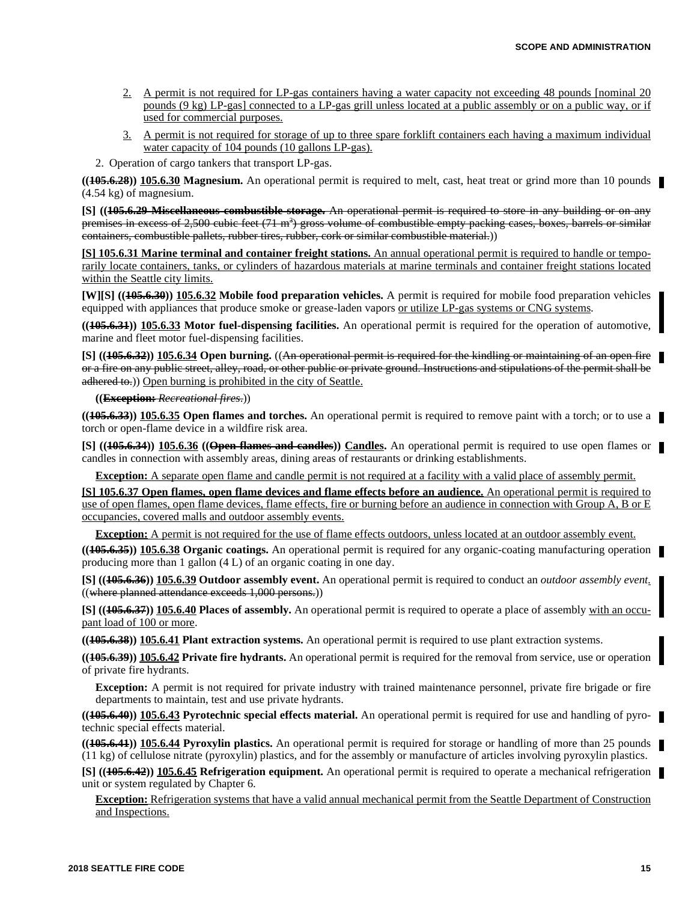- 2. A permit is not required for LP-gas containers having a water capacity not exceeding 48 pounds [nominal 20] pounds (9 kg) LP-gas] connected to a LP-gas grill unless located at a public assembly or on a public way, or if used for commercial purposes.
- 3. A permit is not required for storage of up to three spare forklift containers each having a maximum individual water capacity of 104 pounds (10 gallons LP-gas).
- 2. Operation of cargo tankers that transport LP-gas.

**((105.6.28)) 105.6.30 Magnesium.** An operational permit is required to melt, cast, heat treat or grind more than 10 pounds (4.54 kg) of magnesium.

**[S] ((105.6.29 Miscellaneous combustible storage.** An operational permit is required to store in any building or on any premises in excess of 2,500 cubic feet (71 m<sup>3</sup>) gross volume of combustible empty packing cases, boxes, barrels or similar containers, combustible pallets, rubber tires, rubber, cork or similar combustible material.))

**[S] 105.6.31 Marine terminal and container freight stations.** An annual operational permit is required to handle or temporarily locate containers, tanks, or cylinders of hazardous materials at marine terminals and container freight stations located within the Seattle city limits.

**[W][S] ((105.6.30)) 105.6.32 Mobile food preparation vehicles.** A permit is required for mobile food preparation vehicles equipped with appliances that produce smoke or grease-laden vapors or utilize LP-gas systems or CNG systems.

**((105.6.31)) 105.6.33 Motor fuel-dispensing facilities.** An operational permit is required for the operation of automotive, marine and fleet motor fuel-dispensing facilities.

**[S] ((105.6.32)) 105.6.34 Open burning.** ((An operational permit is required for the kindling or maintaining of an open fire or a fire on any public street, alley, road, or other public or private ground. Instructions and stipulations of the permit shall be adhered to.)) Open burning is prohibited in the city of Seattle.

### **((Exception:** *Recreational fires*.))

**((105.6.33)) 105.6.35 Open flames and torches.** An operational permit is required to remove paint with a torch; or to use a torch or open-flame device in a wildfire risk area.

**[S] ((105.6.34)) 105.6.36 ((Open flames and candles)) Candles.** An operational permit is required to use open flames or candles in connection with assembly areas, dining areas of restaurants or drinking establishments.

**Exception:** A separate open flame and candle permit is not required at a facility with a valid place of assembly permit.

**[S] 105.6.37 Open flames, open flame devices and flame effects before an audience.** An operational permit is required to use of open flames, open flame devices, flame effects, fire or burning before an audience in connection with Group A, B or E occupancies, covered malls and outdoor assembly events.

**Exception:** A permit is not required for the use of flame effects outdoors, unless located at an outdoor assembly event.

**((105.6.35)) 105.6.38 Organic coatings.** An operational permit is required for any organic-coating manufacturing operation producing more than 1 gallon (4 L) of an organic coating in one day.

**[S] ((105.6.36)) 105.6.39 Outdoor assembly event.** An operational permit is required to conduct an *outdoor assembly event.* ((where planned attendance exceeds 1,000 persons.))

**[S] ((105.6.37)) 105.6.40 Places of assembly.** An operational permit is required to operate a place of assembly with an occupant load of 100 or more.

**((105.6.38)) 105.6.41 Plant extraction systems.** An operational permit is required to use plant extraction systems.

**((105.6.39)) 105.6.42 Private fire hydrants.** An operational permit is required for the removal from service, use or operation of private fire hydrants.

**Exception:** A permit is not required for private industry with trained maintenance personnel, private fire brigade or fire departments to maintain, test and use private hydrants.

**((105.6.40)) 105.6.43 Pyrotechnic special effects material.** An operational permit is required for use and handling of pyrotechnic special effects material.

**((105.6.41)) 105.6.44 Pyroxylin plastics.** An operational permit is required for storage or handling of more than 25 pounds (11 kg) of cellulose nitrate (pyroxylin) plastics, and for the assembly or manufacture of articles involving pyroxylin plastics.

**[S] ((105.6.42)) 105.6.45 Refrigeration equipment.** An operational permit is required to operate a mechanical refrigeration unit or system regulated by Chapter 6.

**Exception:** Refrigeration systems that have a valid annual mechanical permit from the Seattle Department of Construction and Inspections.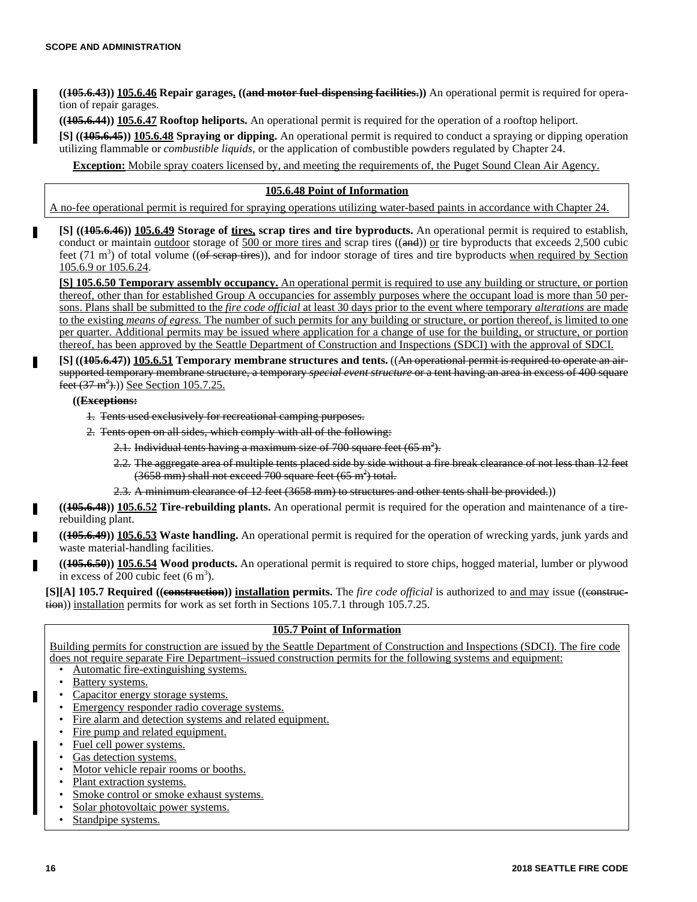**((105.6.43)) 105.6.46 Repair garages. ((and motor fuel-dispensing facilities.))** An operational permit is required for operation of repair garages.

**((105.6.44)) 105.6.47 Rooftop heliports.** An operational permit is required for the operation of a rooftop heliport.

**[S] ((105.6.45)) 105.6.48 Spraying or dipping.** An operational permit is required to conduct a spraying or dipping operation utilizing flammable or *combustible liquids*, or the application of combustible powders regulated by Chapter 24.

**Exception:** Mobile spray coaters licensed by, and meeting the requirements of, the Puget Sound Clean Air Agency.

# **105.6.48 Point of Information**

A no-fee operational permit is required for spraying operations utilizing water-based paints in accordance with Chapter 24.

**[S] ((105.6.46)) 105.6.49 Storage of tires, scrap tires and tire byproducts.** An operational permit is required to establish, conduct or maintain <u>outdoor</u> storage of  $\frac{500}{\text{ or more tires and scrap tires ((and)) or tire byproducts that exceeds 2,500 cubic}$ feet (71 m<sup>3</sup>) of total volume ((<del>of serap tires</del>)), and for indoor storage of tires and tire byproducts when required by Section 105.6.9 or 105.6.24.

**[S] 105.6.50 Temporary assembly occupancy.** An operational permit is required to use any building or structure, or portion thereof, other than for established Group A occupancies for assembly purposes where the occupant load is more than 50 persons. Plans shall be submitted to the *fire code official* at least 30 days prior to the event where temporary *alterations* are made to the existing *means of egress.* The number of such permits for any building or structure, or portion thereof, is limited to one per quarter. Additional permits may be issued where application for a change of use for the building, or structure, or portion thereof, has been approved by the Seattle Department of Construction and Inspections (SDCI) with the approval of SDCI.

**[S] ((105.6.47)) 105.6.51 Temporary membrane structures and tents.** ((An operational permit is required to operate an airsupported temporary membrane structure, a temporary *special event structure* or a tent having an area in excess of 400 square feet  $(37 \text{ m}^2)$ .) See Section 105.7.25.

#### **((Exceptions:**

- 1. Tents used exclusively for recreational camping purposes.
- 2. Tents open on all sides, which comply with all of the following:
	- 2.1. Individual tents having a maximum size of 700 square feet (65 m<sup>2</sup>).
	- 2.2. The aggregate area of multiple tents placed side by side without a fire break clearance of not less than 12 feet  $(3658 \text{ mm})$  shall not exceed 700 square feet  $(65 \text{ m}^2)$  total.
	- 2.3. A minimum clearance of 12 feet (3658 mm) to structures and other tents shall be provided.))
- **((105.6.48)) 105.6.52 Tire-rebuilding plants.** An operational permit is required for the operation and maintenance of a tirerebuilding plant.
- **((105.6.49)) 105.6.53 Waste handling.** An operational permit is required for the operation of wrecking yards, junk yards and waste material-handling facilities.

**((105.6.50)) 105.6.54 Wood products.** An operational permit is required to store chips, hogged material, lumber or plywood in excess of 200 cubic feet  $(6 \text{ m}^3)$ .

**[S][A] 105.7 Required ((construction)) installation permits.** The *fire code official* is authorized to and may issue ((construction) installation permits for work as set forth in Sections 105.7.1 through 105.7.25.

# **105.7 Point of Information**

Building permits for construction are issued by the Seattle Department of Construction and Inspections (SDCI). The fire code does not require separate Fire Department–issued construction permits for the following systems and equipment:

- Automatic fire-extinguishing systems.
- Battery systems.
- Capacitor energy storage systems.
- Emergency responder radio coverage systems.
- Fire alarm and detection systems and related equipment.
- Fire pump and related equipment.
- Fuel cell power systems.
- Gas detection systems.
- Motor vehicle repair rooms or booths.
- Plant extraction systems.
- Smoke control or smoke exhaust systems.
- Solar photovoltaic power systems.
- Standpipe systems.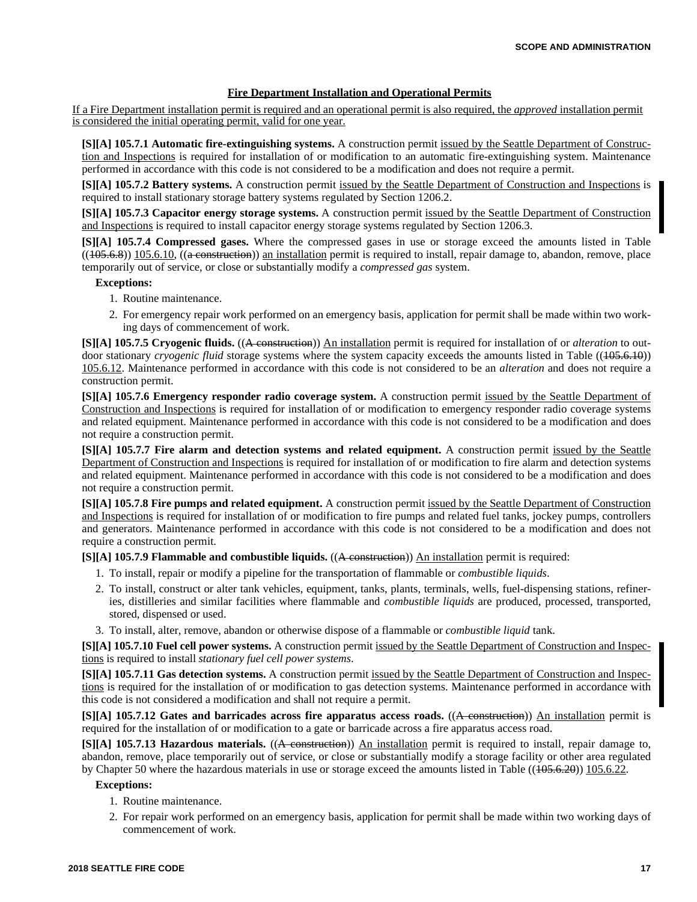### **Fire Department Installation and Operational Permits**

If a Fire Department installation permit is required and an operational permit is also required, the *approved* installation permit is considered the initial operating permit, valid for one year.

**[S][A] 105.7.1 Automatic fire-extinguishing systems.** A construction permit issued by the Seattle Department of Construction and Inspections is required for installation of or modification to an automatic fire-extinguishing system. Maintenance performed in accordance with this code is not considered to be a modification and does not require a permit.

**[S][A] 105.7.2 Battery systems.** A construction permit issued by the Seattle Department of Construction and Inspections is required to install stationary storage battery systems regulated by Section 1206.2.

**[S][A] 105.7.3 Capacitor energy storage systems.** A construction permit issued by the Seattle Department of Construction and Inspections is required to install capacitor energy storage systems regulated by Section 1206.3.

**[S][A] 105.7.4 Compressed gases.** Where the compressed gases in use or storage exceed the amounts listed in Table  $((105.6.8))$  105.6.10,  $((a$  construction)) an installation permit is required to install, repair damage to, abandon, remove, place temporarily out of service, or close or substantially modify a *compressed gas* system.

#### **Exceptions:**

- 1. Routine maintenance.
- 2. For emergency repair work performed on an emergency basis, application for permit shall be made within two working days of commencement of work.

**[S][A] 105.7.5 Cryogenic fluids.** ((A construction)) An installation permit is required for installation of or *alteration* to outdoor stationary *cryogenic fluid* storage systems where the system capacity exceeds the amounts listed in Table ((405.6.10)) 105.6.12. Maintenance performed in accordance with this code is not considered to be an *alteration* and does not require a construction permit.

**[S][A] 105.7.6 Emergency responder radio coverage system.** A construction permit issued by the Seattle Department of Construction and Inspections is required for installation of or modification to emergency responder radio coverage systems and related equipment. Maintenance performed in accordance with this code is not considered to be a modification and does not require a construction permit.

**[S][A] 105.7.7 Fire alarm and detection systems and related equipment.** A construction permit issued by the Seattle Department of Construction and Inspections is required for installation of or modification to fire alarm and detection systems and related equipment. Maintenance performed in accordance with this code is not considered to be a modification and does not require a construction permit.

**[S][A] 105.7.8 Fire pumps and related equipment.** A construction permit issued by the Seattle Department of Construction and Inspections is required for installation of or modification to fire pumps and related fuel tanks, jockey pumps, controllers and generators. Maintenance performed in accordance with this code is not considered to be a modification and does not require a construction permit.

**[S][A] 105.7.9 Flammable and combustible liquids.** ((A construction)) An installation permit is required:

- 1. To install, repair or modify a pipeline for the transportation of flammable or *combustible liquids*.
- 2. To install, construct or alter tank vehicles, equipment, tanks, plants, terminals, wells, fuel-dispensing stations, refineries, distilleries and similar facilities where flammable and *combustible liquids* are produced, processed, transported, stored, dispensed or used.
- 3. To install, alter, remove, abandon or otherwise dispose of a flammable or *combustible liquid* tank.

**[S][A] 105.7.10 Fuel cell power systems.** A construction permit issued by the Seattle Department of Construction and Inspections is required to install *stationary fuel cell power systems*.

**[S][A] 105.7.11 Gas detection systems.** A construction permit issued by the Seattle Department of Construction and Inspections is required for the installation of or modification to gas detection systems. Maintenance performed in accordance with this code is not considered a modification and shall not require a permit.

**[S][A] 105.7.12 Gates and barricades across fire apparatus access roads.** ((A construction)) An installation permit is required for the installation of or modification to a gate or barricade across a fire apparatus access road.

**[S][A] 105.7.13 Hazardous materials.** ((A construction)) An installation permit is required to install, repair damage to, abandon, remove, place temporarily out of service, or close or substantially modify a storage facility or other area regulated by Chapter 50 where the hazardous materials in use or storage exceed the amounts listed in Table ((405.6.20)) 105.6.22.

#### **Exceptions:**

- 1. Routine maintenance.
- 2. For repair work performed on an emergency basis, application for permit shall be made within two working days of commencement of work.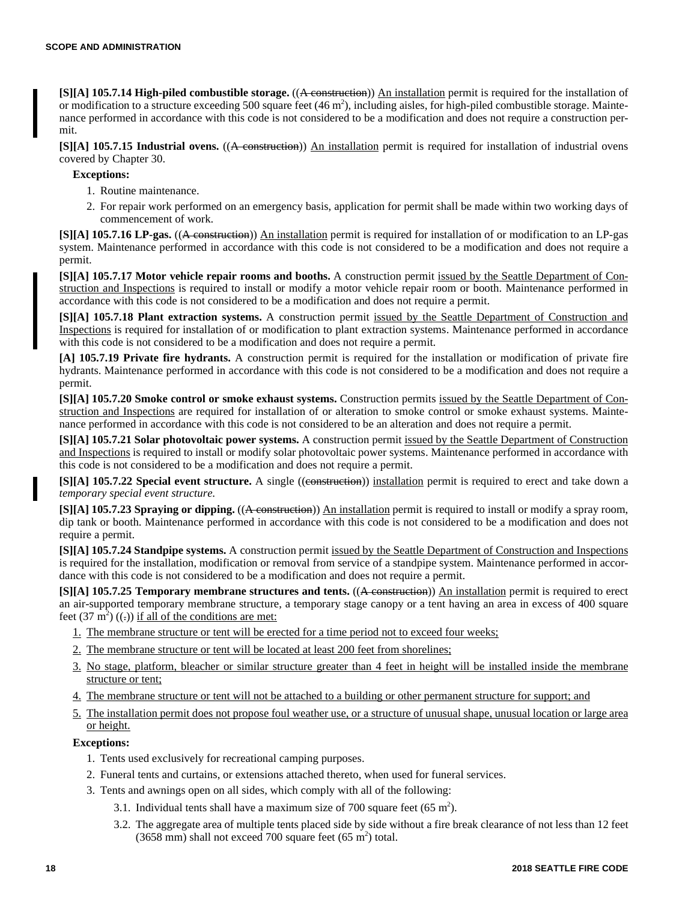**[S][A] 105.7.14 High-piled combustible storage.** ((A construction)) An installation permit is required for the installation of or modification to a structure exceeding 500 square feet  $(46 \text{ m}^2)$ , including aisles, for high-piled combustible storage. Maintenance performed in accordance with this code is not considered to be a modification and does not require a construction permit.

**[S][A] 105.7.15 Industrial ovens.** ((A construction)) An installation permit is required for installation of industrial ovens covered by Chapter 30.

### **Exceptions:**

- 1. Routine maintenance.
- 2. For repair work performed on an emergency basis, application for permit shall be made within two working days of commencement of work.

**[S][A] 105.7.16 LP-gas.** ((A construction)) An installation permit is required for installation of or modification to an LP-gas system. Maintenance performed in accordance with this code is not considered to be a modification and does not require a permit.

**[S][A] 105.7.17 Motor vehicle repair rooms and booths.** A construction permit issued by the Seattle Department of Construction and Inspections is required to install or modify a motor vehicle repair room or booth. Maintenance performed in accordance with this code is not considered to be a modification and does not require a permit.

**[S][A] 105.7.18 Plant extraction systems.** A construction permit issued by the Seattle Department of Construction and Inspections is required for installation of or modification to plant extraction systems. Maintenance performed in accordance with this code is not considered to be a modification and does not require a permit.

**[A] 105.7.19 Private fire hydrants.** A construction permit is required for the installation or modification of private fire hydrants. Maintenance performed in accordance with this code is not considered to be a modification and does not require a permit.

**[S][A] 105.7.20 Smoke control or smoke exhaust systems.** Construction permits issued by the Seattle Department of Construction and Inspections are required for installation of or alteration to smoke control or smoke exhaust systems. Maintenance performed in accordance with this code is not considered to be an alteration and does not require a permit.

**[S][A] 105.7.21 Solar photovoltaic power systems.** A construction permit issued by the Seattle Department of Construction and Inspections is required to install or modify solar photovoltaic power systems. Maintenance performed in accordance with this code is not considered to be a modification and does not require a permit.

**[S][A] 105.7.22 Special event structure.** A single ((construction)) installation permit is required to erect and take down a *temporary special event structure*.

**[S][A] 105.7.23 Spraying or dipping.** ((A construction)) An installation permit is required to install or modify a spray room, dip tank or booth. Maintenance performed in accordance with this code is not considered to be a modification and does not require a permit.

**[S][A] 105.7.24 Standpipe systems.** A construction permit issued by the Seattle Department of Construction and Inspections is required for the installation, modification or removal from service of a standpipe system. Maintenance performed in accordance with this code is not considered to be a modification and does not require a permit.

**[S][A] 105.7.25 Temporary membrane structures and tents.** ((A construction)) An installation permit is required to erect an air-supported temporary membrane structure, a temporary stage canopy or a tent having an area in excess of 400 square feet  $(37 \text{ m}^2)$  ((-)) if all of the conditions are met:

- 1. The membrane structure or tent will be erected for a time period not to exceed four weeks;
- 2. The membrane structure or tent will be located at least 200 feet from shorelines;
- 3. No stage, platform, bleacher or similar structure greater than 4 feet in height will be installed inside the membrane structure or tent;
- 4. The membrane structure or tent will not be attached to a building or other permanent structure for support; and
- 5. The installation permit does not propose foul weather use, or a structure of unusual shape, unusual location or large area or height.

### **Exceptions:**

- 1. Tents used exclusively for recreational camping purposes.
- 2. Funeral tents and curtains, or extensions attached thereto, when used for funeral services.
- 3. Tents and awnings open on all sides, which comply with all of the following:
	- 3.1. Individual tents shall have a maximum size of 700 square feet  $(65 \text{ m}^2)$ .
	- 3.2. The aggregate area of multiple tents placed side by side without a fire break clearance of not less than 12 feet  $(3658 \text{ mm})$  shall not exceed 700 square feet  $(65 \text{ m}^2)$  total.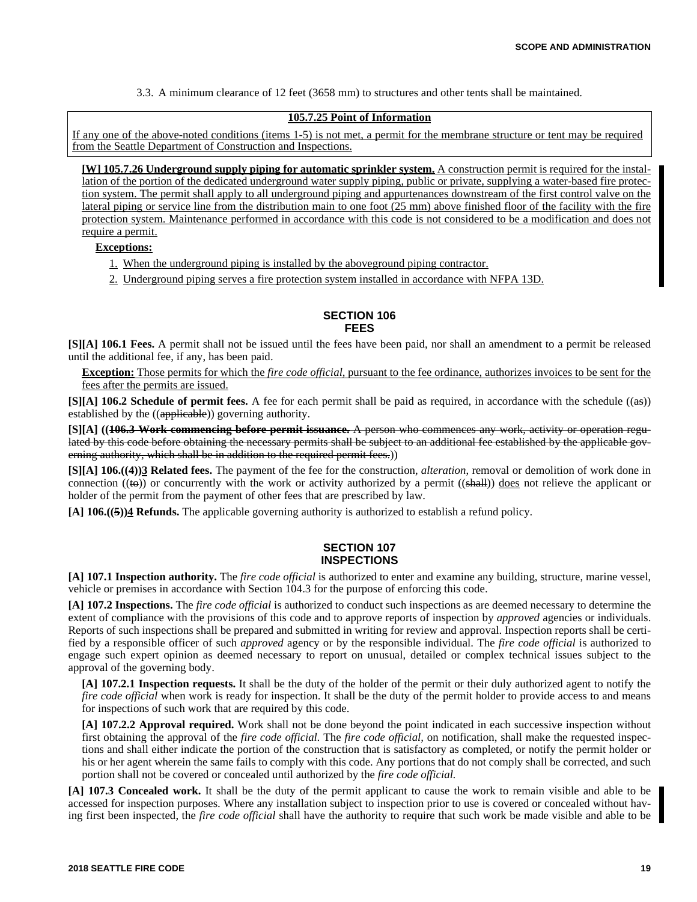3.3. A minimum clearance of 12 feet (3658 mm) to structures and other tents shall be maintained.

### **105.7.25 Point of Information**

If any one of the above-noted conditions (items 1-5) is not met, a permit for the membrane structure or tent may be required from the Seattle Department of Construction and Inspections.

**[W] 105.7.26 Underground supply piping for automatic sprinkler system.** A construction permit is required for the installation of the portion of the dedicated underground water supply piping, public or private, supplying a water-based fire protection system. The permit shall apply to all underground piping and appurtenances downstream of the first control valve on the lateral piping or service line from the distribution main to one foot (25 mm) above finished floor of the facility with the fire protection system. Maintenance performed in accordance with this code is not considered to be a modification and does not require a permit.

### **Exceptions:**

- 1. When the underground piping is installed by the aboveground piping contractor.
- 2. Underground piping serves a fire protection system installed in accordance with NFPA 13D.

#### **SECTION 106 FEES**

**[S][A] 106.1 Fees.** A permit shall not be issued until the fees have been paid, nor shall an amendment to a permit be released until the additional fee, if any, has been paid.

**Exception:** Those permits for which the *fire code official*, pursuant to the fee ordinance, authorizes invoices to be sent for the fees after the permits are issued.

**[S][A] 106.2 Schedule of permit fees.** A fee for each permit shall be paid as required, in accordance with the schedule ((as)) established by the ((applicable)) governing authority.

**[S][A] ((106.3 Work commencing before permit issuance.** A person who commences any work, activity or operation regulated by this code before obtaining the necessary permits shall be subject to an additional fee established by the applicable governing authority, which shall be in addition to the required permit fees.))

**[S][A] 106.((4))3 Related fees.** The payment of the fee for the construction, *alteration*, removal or demolition of work done in connection  $((\theta))$  or concurrently with the work or activity authorized by a permit  $((\theta)$  does not relieve the applicant or holder of the permit from the payment of other fees that are prescribed by law.

**[A] 106.((5))4 Refunds.** The applicable governing authority is authorized to establish a refund policy.

### **SECTION 107 INSPECTIONS**

**[A] 107.1 Inspection authority.** The *fire code official* is authorized to enter and examine any building, structure, marine vessel, vehicle or premises in accordance with Section 104.3 for the purpose of enforcing this code.

**[A] 107.2 Inspections.** The *fire code official* is authorized to conduct such inspections as are deemed necessary to determine the extent of compliance with the provisions of this code and to approve reports of inspection by *approved* agencies or individuals. Reports of such inspections shall be prepared and submitted in writing for review and approval. Inspection reports shall be certified by a responsible officer of such *approved* agency or by the responsible individual. The *fire code official* is authorized to engage such expert opinion as deemed necessary to report on unusual, detailed or complex technical issues subject to the approval of the governing body.

**[A] 107.2.1 Inspection requests.** It shall be the duty of the holder of the permit or their duly authorized agent to notify the *fire code official* when work is ready for inspection. It shall be the duty of the permit holder to provide access to and means for inspections of such work that are required by this code.

**[A] 107.2.2 Approval required.** Work shall not be done beyond the point indicated in each successive inspection without first obtaining the approval of the *fire code official.* The *fire code official,* on notification, shall make the requested inspections and shall either indicate the portion of the construction that is satisfactory as completed, or notify the permit holder or his or her agent wherein the same fails to comply with this code. Any portions that do not comply shall be corrected, and such portion shall not be covered or concealed until authorized by the *fire code official.*

**[A] 107.3 Concealed work.** It shall be the duty of the permit applicant to cause the work to remain visible and able to be accessed for inspection purposes. Where any installation subject to inspection prior to use is covered or concealed without having first been inspected, the *fire code official* shall have the authority to require that such work be made visible and able to be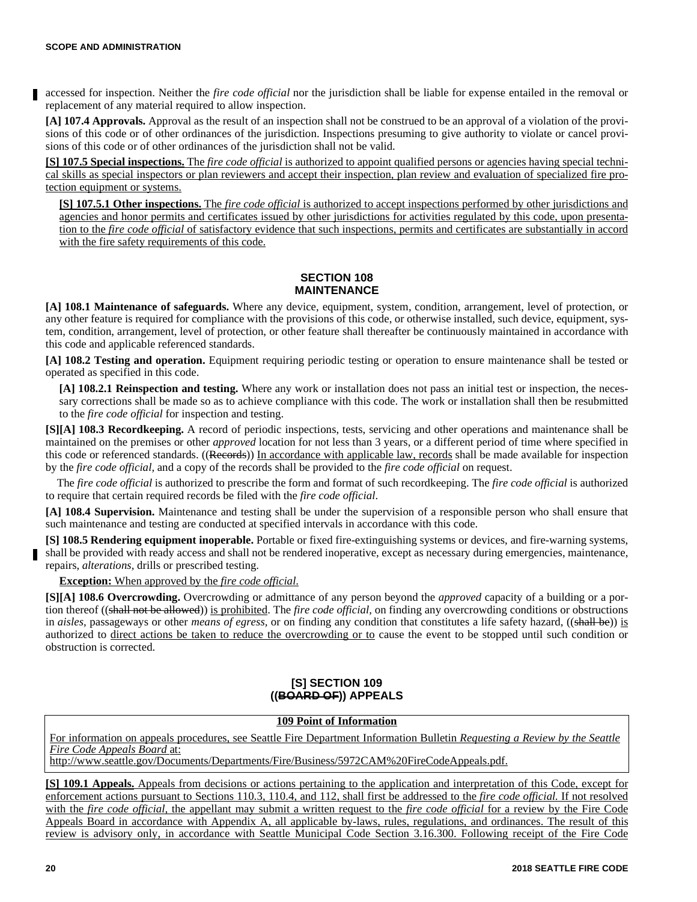accessed for inspection. Neither the *fire code official* nor the jurisdiction shall be liable for expense entailed in the removal or replacement of any material required to allow inspection.

**[A] 107.4 Approvals.** Approval as the result of an inspection shall not be construed to be an approval of a violation of the provisions of this code or of other ordinances of the jurisdiction. Inspections presuming to give authority to violate or cancel provisions of this code or of other ordinances of the jurisdiction shall not be valid.

**[S] 107.5 Special inspections.** The *fire code official* is authorized to appoint qualified persons or agencies having special technical skills as special inspectors or plan reviewers and accept their inspection, plan review and evaluation of specialized fire protection equipment or systems.

**[S] 107.5.1 Other inspections.** The *fire code official* is authorized to accept inspections performed by other jurisdictions and agencies and honor permits and certificates issued by other jurisdictions for activities regulated by this code, upon presentation to the *fire code official* of satisfactory evidence that such inspections, permits and certificates are substantially in accord with the fire safety requirements of this code.

### **SECTION 108 MAINTENANCE**

**[A] 108.1 Maintenance of safeguards.** Where any device, equipment, system, condition, arrangement, level of protection, or any other feature is required for compliance with the provisions of this code, or otherwise installed, such device, equipment, system, condition, arrangement, level of protection, or other feature shall thereafter be continuously maintained in accordance with this code and applicable referenced standards.

**[A] 108.2 Testing and operation.** Equipment requiring periodic testing or operation to ensure maintenance shall be tested or operated as specified in this code.

**[A] 108.2.1 Reinspection and testing.** Where any work or installation does not pass an initial test or inspection, the necessary corrections shall be made so as to achieve compliance with this code. The work or installation shall then be resubmitted to the *fire code official* for inspection and testing.

**[S][A] 108.3 Recordkeeping.** A record of periodic inspections, tests, servicing and other operations and maintenance shall be maintained on the premises or other *approved* location for not less than 3 years, or a different period of time where specified in this code or referenced standards. ((Records)) In accordance with applicable law, records shall be made available for inspection by the *fire code official,* and a copy of the records shall be provided to the *fire code official* on request.

The *fire code official* is authorized to prescribe the form and format of such recordkeeping. The *fire code official* is authorized to require that certain required records be filed with the *fire code official*.

**[A] 108.4 Supervision.** Maintenance and testing shall be under the supervision of a responsible person who shall ensure that such maintenance and testing are conducted at specified intervals in accordance with this code.

**[S] 108.5 Rendering equipment inoperable.** Portable or fixed fire-extinguishing systems or devices, and fire-warning systems, shall be provided with ready access and shall not be rendered inoperative, except as necessary during emergencies, maintenance, repairs, *alterations,* drills or prescribed testing.

**Exception:** When approved by the *fire code official*.

**[S][A] 108.6 Overcrowding.** Overcrowding or admittance of any person beyond the *approved* capacity of a building or a portion thereof ((shall not be allowed)) is prohibited. The *fire code official,* on finding any overcrowding conditions or obstructions in *aisles*, passageways or other *means of egress*, or on finding any condition that constitutes a life safety hazard, ((shall be)) is authorized to direct actions be taken to reduce the overcrowding or to cause the event to be stopped until such condition or obstruction is corrected.

### **[S] SECTION 109 ((BOARD OF)) APPEALS**

# **109 Point of Information**

For information on appeals procedures, see Seattle Fire Department Information Bulletin *Requesting a Review by the Seattle Fire Code Appeals Board* at:

http://www.seattle.gov/Documents/Departments/Fire/Business/5972CAM%20FireCodeAppeals.pdf.

**[S] 109.1 Appeals.** Appeals from decisions or actions pertaining to the application and interpretation of this Code, except for enforcement actions pursuant to Sections 110.3, 110.4, and 112, shall first be addressed to the *fire code official.* If not resolved with the *fire code official,* the appellant may submit a written request to the *fire code official* for a review by the Fire Code Appeals Board in accordance with Appendix A, all applicable by-laws, rules, regulations, and ordinances. The result of this review is advisory only, in accordance with Seattle Municipal Code Section 3.16.300. Following receipt of the Fire Code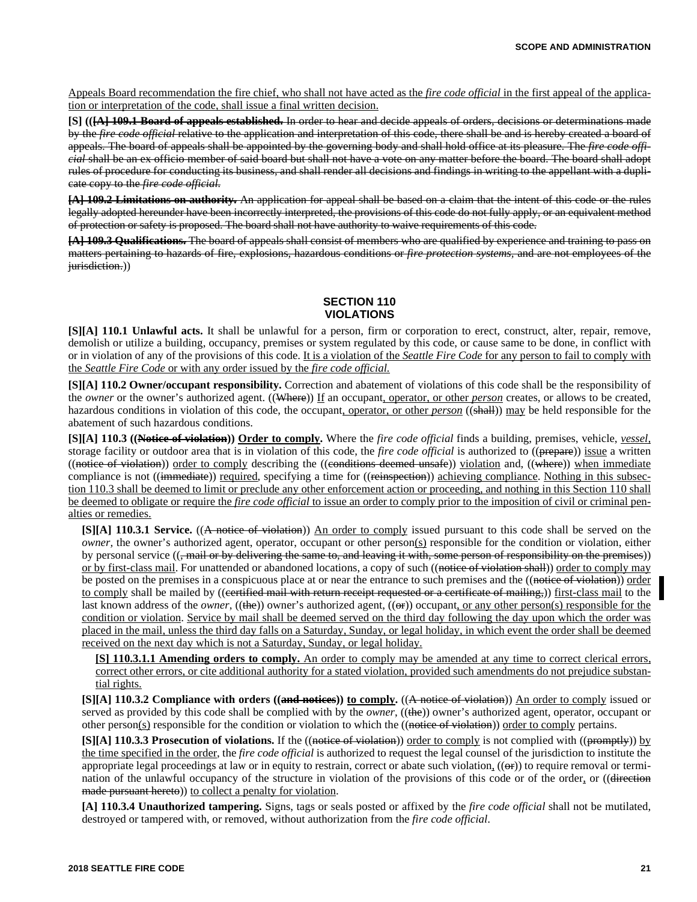Appeals Board recommendation the fire chief, who shall not have acted as the *fire code official* in the first appeal of the application or interpretation of the code, shall issue a final written decision.

**[S] (([A] 109.1 Board of appeals established.** In order to hear and decide appeals of orders, decisions or determinations made by the *fire code official* relative to the application and interpretation of this code, there shall be and is hereby created a board of appeals. The board of appeals shall be appointed by the governing body and shall hold office at its pleasure. The *fire code official* shall be an ex officio member of said board but shall not have a vote on any matter before the board. The board shall adopt rules of procedure for conducting its business, and shall render all decisions and findings in writing to the appellant with a duplicate copy to the *fire code official.*

**[A] 109.2 Limitations on authority.** An application for appeal shall be based on a claim that the intent of this code or the rules legally adopted hereunder have been incorrectly interpreted, the provisions of this code do not fully apply, or an equivalent method of protection or safety is proposed. The board shall not have authority to waive requirements of this code.

**[A] 109.3 Qualifications.** The board of appeals shall consist of members who are qualified by experience and training to pass on matters pertaining to hazards of fire, explosions, hazardous conditions or *fire protection systems,* and are not employees of the jurisdiction.))

### **SECTION 110 VIOLATIONS**

**[S][A] 110.1 Unlawful acts.** It shall be unlawful for a person, firm or corporation to erect, construct, alter, repair, remove, demolish or utilize a building, occupancy, premises or system regulated by this code, or cause same to be done, in conflict with or in violation of any of the provisions of this code. It is a violation of the *Seattle Fire Code* for any person to fail to comply with the *Seattle Fire Code* or with any order issued by the *fire code official.*

**[S][A] 110.2 Owner/occupant responsibility.** Correction and abatement of violations of this code shall be the responsibility of the *owner* or the owner's authorized agent. ((Where)) If an occupant, operator, or other *person* creates, or allows to be created, hazardous conditions in violation of this code, the occupant, operator, or other *person* ((shall)) may be held responsible for the abatement of such hazardous conditions.

**[S][A] 110.3 ((Notice of violation)) Order to comply.** Where the *fire code official* finds a building, premises, vehicle, *vessel,* storage facility or outdoor area that is in violation of this code, the *fire code official* is authorized to ((prepare)) issue a written ((notice of violation)) order to comply describing the ((eonditions deemed unsafe)) violation and, ((where)) when immediate compliance is not ((immediate)) required, specifying a time for ((reinspection)) achieving compliance. Nothing in this subsection 110.3 shall be deemed to limit or preclude any other enforcement action or proceeding, and nothing in this Section 110 shall be deemed to obligate or require the *fire code official* to issue an order to comply prior to the imposition of civil or criminal penalties or remedies.

**[S][A] 110.3.1 Service.** ((A notice of violation)) An order to comply issued pursuant to this code shall be served on the *owner*, the owner's authorized agent, operator, occupant or other person(s) responsible for the condition or violation, either by personal service ((<del>, mail or by delivering the same to, and leaving it with, some person of responsibility on the premises)</del>) or by first-class mail. For unattended or abandoned locations, a copy of such ((notice of violation shall)) order to comply may be posted on the premises in a conspicuous place at or near the entrance to such premises and the ((notice of violation)) order to comply shall be mailed by ((eertified mail with return receipt requested or a certificate of mailing,)) first-class mail to the last known address of the *owner*, ((the)) owner's authorized agent, ((or)) occupant, or any other person(s) responsible for the condition or violation. Service by mail shall be deemed served on the third day following the day upon which the order was placed in the mail, unless the third day falls on a Saturday, Sunday, or legal holiday, in which event the order shall be deemed received on the next day which is not a Saturday, Sunday, or legal holiday.

**[S] 110.3.1.1 Amending orders to comply.** An order to comply may be amended at any time to correct clerical errors, correct other errors, or cite additional authority for a stated violation, provided such amendments do not prejudice substantial rights.

**[S][A] 110.3.2 Compliance with orders ((and notices)) to comply.** ((A notice of violation)) An order to comply issued or served as provided by this code shall be complied with by the *owner*, ((the)) owner's authorized agent, operator, occupant or other person(s) responsible for the condition or violation to which the ((notice of violation)) order to comply pertains.

**[S][A] 110.3.3 Prosecution of violations.** If the ((notice of violation)) order to comply is not complied with ((promptly)) by the time specified in the order, the *fire code official* is authorized to request the legal counsel of the jurisdiction to institute the appropriate legal proceedings at law or in equity to restrain, correct or abate such violation,  $((\Theta F))$  to require removal or termination of the unlawful occupancy of the structure in violation of the provisions of this code or of the order, or ((direction made pursuant hereto)) to collect a penalty for violation.

**[A] 110.3.4 Unauthorized tampering.** Signs, tags or seals posted or affixed by the *fire code official* shall not be mutilated, destroyed or tampered with, or removed, without authorization from the *fire code official*.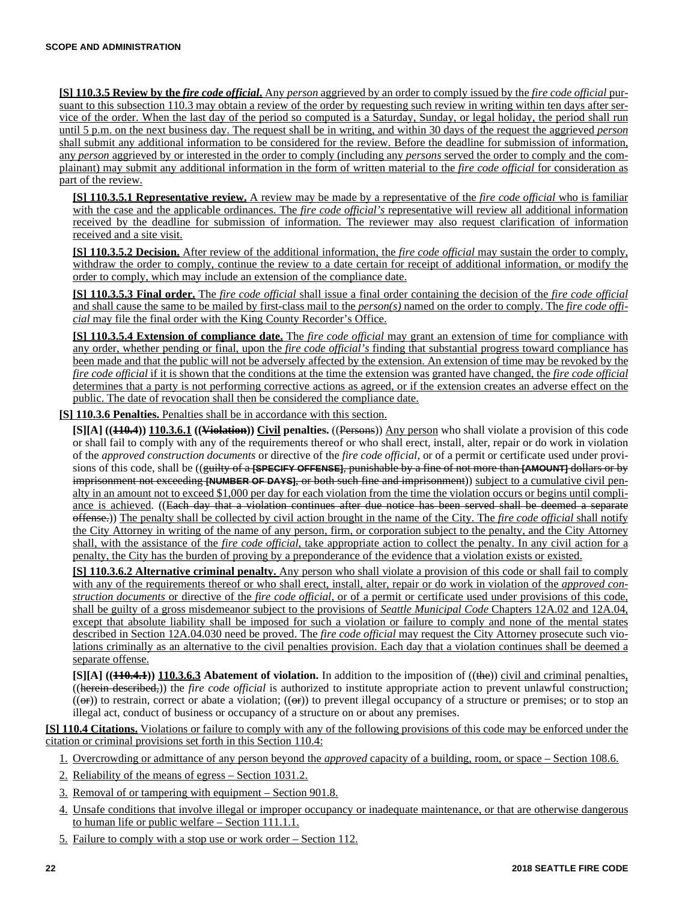**[S] 110.3.5 Review by the** *fire code official***.** Any *person* aggrieved by an order to comply issued by the *fire code official* pursuant to this subsection 110.3 may obtain a review of the order by requesting such review in writing within ten days after service of the order. When the last day of the period so computed is a Saturday, Sunday, or legal holiday, the period shall run until 5 p.m. on the next business day. The request shall be in writing, and within 30 days of the request the aggrieved *person* shall submit any additional information to be considered for the review. Before the deadline for submission of information, any *person* aggrieved by or interested in the order to comply (including any *persons* served the order to comply and the complainant) may submit any additional information in the form of written material to the *fire code official* for consideration as part of the review.

**[S] 110.3.5.1 Representative review.** A review may be made by a representative of the *fire code official* who is familiar with the case and the applicable ordinances. The *fire code official's* representative will review all additional information received by the deadline for submission of information. The reviewer may also request clarification of information received and a site visit.

**[S] 110.3.5.2 Decision.** After review of the additional information, the *fire code official* may sustain the order to comply, withdraw the order to comply, continue the review to a date certain for receipt of additional information, or modify the order to comply, which may include an extension of the compliance date.

**[S] 110.3.5.3 Final order.** The *fire code official* shall issue a final order containing the decision of the *fire code official* and shall cause the same to be mailed by first-class mail to the *person(s)* named on the order to comply. The *fire code official* may file the final order with the King County Recorder's Office.

**[S] 110.3.5.4 Extension of compliance date.** The *fire code official* may grant an extension of time for compliance with any order, whether pending or final, upon the *fire code official's* finding that substantial progress toward compliance has been made and that the public will not be adversely affected by the extension. An extension of time may be revoked by the *fire code official* if it is shown that the conditions at the time the extension was granted have changed, the *fire code official* determines that a party is not performing corrective actions as agreed, or if the extension creates an adverse effect on the public. The date of revocation shall then be considered the compliance date.

**[S] 110.3.6 Penalties.** Penalties shall be in accordance with this section.

**[S][A] ((<del>110.4</del>)) 110.3.6.1 ((Violation)) Civil penalties.** ((Persons)) Any person who shall violate a provision of this code or shall fail to comply with any of the requirements thereof or who shall erect, install, alter, repair or do work in violation of the *approved construction documents* or directive of the *fire code official*, or of a permit or certificate used under provisions of this code, shall be ((guilty of a **[SPECIFY OFFENSE]**, punishable by a fine of not more than **[AMOUNT]** dollars or by imprisonment not exceeding **[NUMBER OF DAYS]**, or both such fine and imprisonment)) subject to a cumulative civil penalty in an amount not to exceed \$1,000 per day for each violation from the time the violation occurs or begins until compliance is achieved. ((Each day that a violation continues after due notice has been served shall be deemed a separate offense.)) The penalty shall be collected by civil action brought in the name of the City. The *fire code official* shall notify the City Attorney in writing of the name of any person, firm, or corporation subject to the penalty, and the City Attorney shall, with the assistance of the *fire code official*, take appropriate action to collect the penalty. In any civil action for a penalty, the City has the burden of proving by a preponderance of the evidence that a violation exists or existed.

**[S] 110.3.6.2 Alternative criminal penalty.** Any person who shall violate a provision of this code or shall fail to comply with any of the requirements thereof or who shall erect, install, alter, repair or do work in violation of the *approved construction documents* or directive of the *fire code official*, or of a permit or certificate used under provisions of this code, shall be guilty of a gross misdemeanor subject to the provisions of *Seattle Municipal Code* Chapters 12A.02 and 12A.04, except that absolute liability shall be imposed for such a violation or failure to comply and none of the mental states described in Section 12A.04.030 need be proved. The *fire code official* may request the City Attorney prosecute such violations criminally as an alternative to the civil penalties provision. Each day that a violation continues shall be deemed a separate offense.

**[S][A] ((110.4.1)) 110.3.6.3 Abatement of violation.** In addition to the imposition of ((the)) civil and criminal penalties, ((herein described,)) the *fire code official* is authorized to institute appropriate action to prevent unlawful construction;  $((\Theta$ ) to restrain, correct or abate a violation;  $((\Theta$ ) to prevent illegal occupancy of a structure or premises; or to stop an illegal act, conduct of business or occupancy of a structure on or about any premises.

**[S] 110.4 Citations.** Violations or failure to comply with any of the following provisions of this code may be enforced under the citation or criminal provisions set forth in this Section 110.4:

- 1. Overcrowding or admittance of any person beyond the *approved* capacity of a building, room, or space Section 108.6.
- 2. Reliability of the means of egress Section 1031.2.
- 3. Removal of or tampering with equipment Section 901.8.
- 4. Unsafe conditions that involve illegal or improper occupancy or inadequate maintenance, or that are otherwise dangerous to human life or public welfare – Section 111.1.1.
- 5. Failure to comply with a stop use or work order Section 112.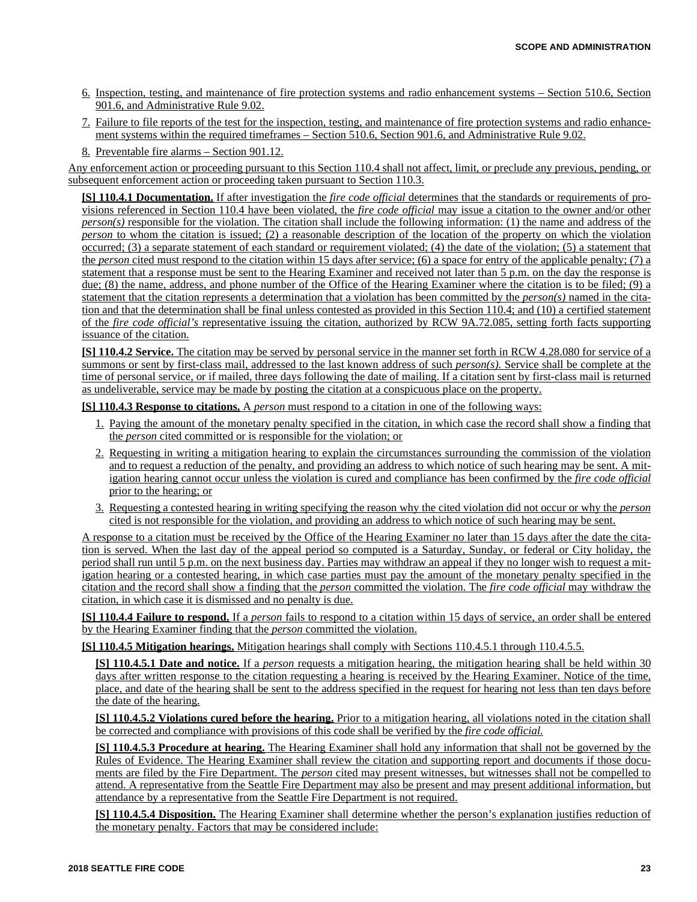- 6. Inspection, testing, and maintenance of fire protection systems and radio enhancement systems Section 510.6, Section 901.6, and Administrative Rule 9.02.
- 7. Failure to file reports of the test for the inspection, testing, and maintenance of fire protection systems and radio enhancement systems within the required timeframes – Section 510.6, Section 901.6, and Administrative Rule 9.02.
- 8. Preventable fire alarms Section 901.12.

Any enforcement action or proceeding pursuant to this Section 110.4 shall not affect, limit, or preclude any previous, pending, or subsequent enforcement action or proceeding taken pursuant to Section 110.3.

**[S] 110.4.1 Documentation.** If after investigation the *fire code official* determines that the standards or requirements of provisions referenced in Section 110.4 have been violated, the *fire code official* may issue a citation to the owner and/or other *person(s)* responsible for the violation. The citation shall include the following information: (1) the name and address of the *person* to whom the citation is issued; (2) a reasonable description of the location of the property on which the violation occurred; (3) a separate statement of each standard or requirement violated; (4) the date of the violation; (5) a statement that the *person* cited must respond to the citation within 15 days after service; (6) a space for entry of the applicable penalty; (7) a statement that a response must be sent to the Hearing Examiner and received not later than 5 p.m. on the day the response is due; (8) the name, address, and phone number of the Office of the Hearing Examiner where the citation is to be filed; (9) a statement that the citation represents a determination that a violation has been committed by the *person(s)* named in the citation and that the determination shall be final unless contested as provided in this Section 110.4; and (10) a certified statement of the *fire code official's* representative issuing the citation, authorized by RCW 9A.72.085, setting forth facts supporting issuance of the citation.

**[S] 110.4.2 Service.** The citation may be served by personal service in the manner set forth in RCW 4.28.080 for service of a summons or sent by first-class mail, addressed to the last known address of such *person(s).* Service shall be complete at the time of personal service, or if mailed, three days following the date of mailing. If a citation sent by first-class mail is returned as undeliverable, service may be made by posting the citation at a conspicuous place on the property.

**[S] 110.4.3 Response to citations.** A *person* must respond to a citation in one of the following ways:

- 1. Paying the amount of the monetary penalty specified in the citation, in which case the record shall show a finding that the *person* cited committed or is responsible for the violation; or
- 2. Requesting in writing a mitigation hearing to explain the circumstances surrounding the commission of the violation and to request a reduction of the penalty, and providing an address to which notice of such hearing may be sent. A mitigation hearing cannot occur unless the violation is cured and compliance has been confirmed by the *fire code official* prior to the hearing; or
- 3. Requesting a contested hearing in writing specifying the reason why the cited violation did not occur or why the *person* cited is not responsible for the violation, and providing an address to which notice of such hearing may be sent.

A response to a citation must be received by the Office of the Hearing Examiner no later than 15 days after the date the citation is served. When the last day of the appeal period so computed is a Saturday, Sunday, or federal or City holiday, the period shall run until 5 p.m. on the next business day. Parties may withdraw an appeal if they no longer wish to request a mitigation hearing or a contested hearing, in which case parties must pay the amount of the monetary penalty specified in the citation and the record shall show a finding that the *person* committed the violation. The *fire code official* may withdraw the citation, in which case it is dismissed and no penalty is due.

**[S] 110.4.4 Failure to respond.** If a *person* fails to respond to a citation within 15 days of service, an order shall be entered by the Hearing Examiner finding that the *person* committed the violation.

**[S] 110.4.5 Mitigation hearings.** Mitigation hearings shall comply with Sections 110.4.5.1 through 110.4.5.5.

**[S] 110.4.5.1 Date and notice.** If a *person* requests a mitigation hearing, the mitigation hearing shall be held within 30 days after written response to the citation requesting a hearing is received by the Hearing Examiner. Notice of the time, place, and date of the hearing shall be sent to the address specified in the request for hearing not less than ten days before the date of the hearing.

**[S] 110.4.5.2 Violations cured before the hearing.** Prior to a mitigation hearing, all violations noted in the citation shall be corrected and compliance with provisions of this code shall be verified by the *fire code official.*

**[S] 110.4.5.3 Procedure at hearing.** The Hearing Examiner shall hold any information that shall not be governed by the Rules of Evidence. The Hearing Examiner shall review the citation and supporting report and documents if those documents are filed by the Fire Department. The *person* cited may present witnesses, but witnesses shall not be compelled to attend. A representative from the Seattle Fire Department may also be present and may present additional information, but attendance by a representative from the Seattle Fire Department is not required.

**[S] 110.4.5.4 Disposition.** The Hearing Examiner shall determine whether the person's explanation justifies reduction of the monetary penalty. Factors that may be considered include: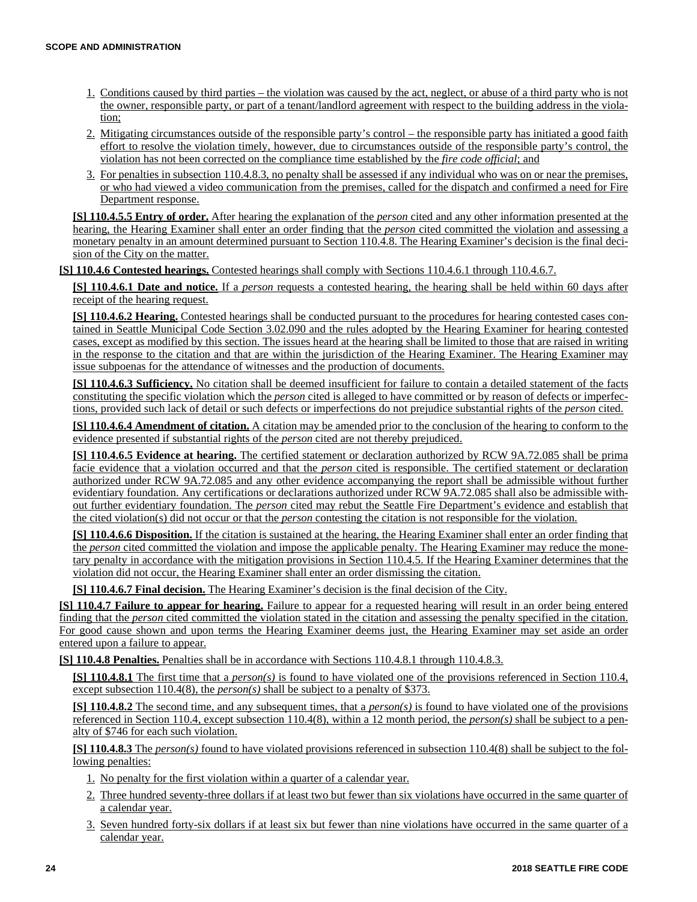- 1. Conditions caused by third parties the violation was caused by the act, neglect, or abuse of a third party who is not the owner, responsible party, or part of a tenant/landlord agreement with respect to the building address in the violation;
- 2. Mitigating circumstances outside of the responsible party's control the responsible party has initiated a good faith effort to resolve the violation timely, however, due to circumstances outside of the responsible party's control, the violation has not been corrected on the compliance time established by the *fire code official*; and
- 3. For penalties in subsection 110.4.8.3, no penalty shall be assessed if any individual who was on or near the premises, or who had viewed a video communication from the premises, called for the dispatch and confirmed a need for Fire Department response.

**[S] 110.4.5.5 Entry of order.** After hearing the explanation of the *person* cited and any other information presented at the hearing, the Hearing Examiner shall enter an order finding that the *person* cited committed the violation and assessing a monetary penalty in an amount determined pursuant to Section 110.4.8. The Hearing Examiner's decision is the final decision of the City on the matter.

**[S] 110.4.6 Contested hearings.** Contested hearings shall comply with Sections 110.4.6.1 through 110.4.6.7.

**[S] 110.4.6.1 Date and notice.** If a *person* requests a contested hearing, the hearing shall be held within 60 days after receipt of the hearing request.

**[S] 110.4.6.2 Hearing.** Contested hearings shall be conducted pursuant to the procedures for hearing contested cases contained in Seattle Municipal Code Section 3.02.090 and the rules adopted by the Hearing Examiner for hearing contested cases, except as modified by this section. The issues heard at the hearing shall be limited to those that are raised in writing in the response to the citation and that are within the jurisdiction of the Hearing Examiner. The Hearing Examiner may issue subpoenas for the attendance of witnesses and the production of documents.

**[S] 110.4.6.3 Sufficiency.** No citation shall be deemed insufficient for failure to contain a detailed statement of the facts constituting the specific violation which the *person* cited is alleged to have committed or by reason of defects or imperfections, provided such lack of detail or such defects or imperfections do not prejudice substantial rights of the *person* cited.

**[S] 110.4.6.4 Amendment of citation.** A citation may be amended prior to the conclusion of the hearing to conform to the evidence presented if substantial rights of the *person* cited are not thereby prejudiced.

**[S] 110.4.6.5 Evidence at hearing.** The certified statement or declaration authorized by RCW 9A.72.085 shall be prima facie evidence that a violation occurred and that the *person* cited is responsible. The certified statement or declaration authorized under RCW 9A.72.085 and any other evidence accompanying the report shall be admissible without further evidentiary foundation. Any certifications or declarations authorized under RCW 9A.72.085 shall also be admissible without further evidentiary foundation. The *person* cited may rebut the Seattle Fire Department's evidence and establish that the cited violation(s) did not occur or that the *person* contesting the citation is not responsible for the violation.

**[S] 110.4.6.6 Disposition.** If the citation is sustained at the hearing, the Hearing Examiner shall enter an order finding that the *person* cited committed the violation and impose the applicable penalty. The Hearing Examiner may reduce the monetary penalty in accordance with the mitigation provisions in Section 110.4.5. If the Hearing Examiner determines that the violation did not occur, the Hearing Examiner shall enter an order dismissing the citation.

**[S] 110.4.6.7 Final decision.** The Hearing Examiner's decision is the final decision of the City.

**[S] 110.4.7 Failure to appear for hearing.** Failure to appear for a requested hearing will result in an order being entered finding that the *person* cited committed the violation stated in the citation and assessing the penalty specified in the citation. For good cause shown and upon terms the Hearing Examiner deems just, the Hearing Examiner may set aside an order entered upon a failure to appear.

**[S] 110.4.8 Penalties.** Penalties shall be in accordance with Sections 110.4.8.1 through 110.4.8.3.

**[S] 110.4.8.1** The first time that a *person(s)* is found to have violated one of the provisions referenced in Section 110.4, except subsection 110.4(8), the *person(s)* shall be subject to a penalty of \$373.

**[S] 110.4.8.2** The second time, and any subsequent times, that a *person(s)* is found to have violated one of the provisions referenced in Section 110.4, except subsection 110.4(8), within a 12 month period, the *person(s)* shall be subject to a penalty of \$746 for each such violation.

**[S] 110.4.8.3** The *person(s)* found to have violated provisions referenced in subsection 110.4(8) shall be subject to the following penalties:

- 1. No penalty for the first violation within a quarter of a calendar year.
- 2. Three hundred seventy-three dollars if at least two but fewer than six violations have occurred in the same quarter of a calendar year.
- 3. Seven hundred forty-six dollars if at least six but fewer than nine violations have occurred in the same quarter of a calendar year.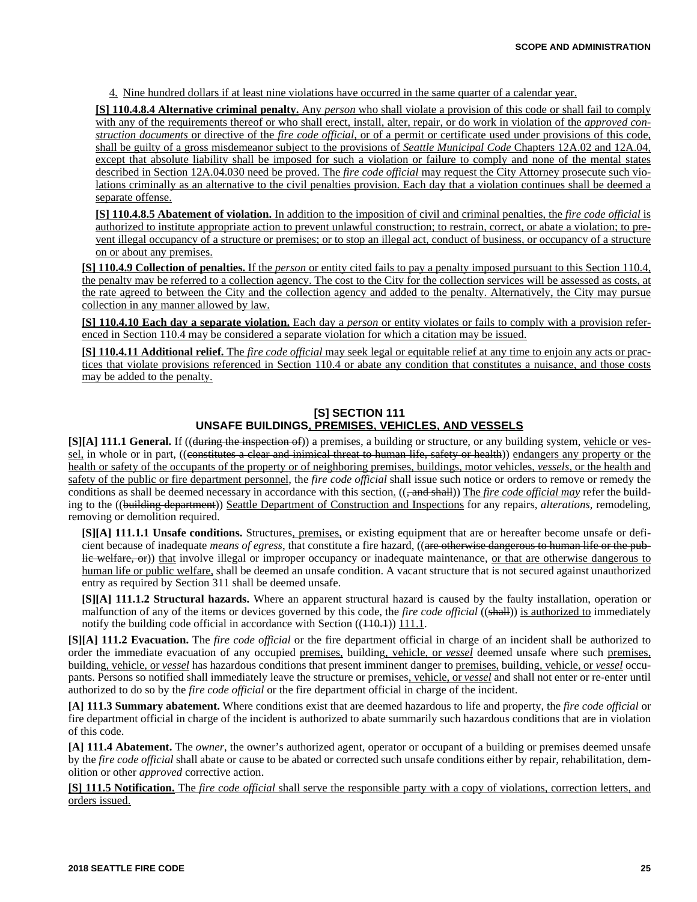4. Nine hundred dollars if at least nine violations have occurred in the same quarter of a calendar year.

**[S] 110.4.8.4 Alternative criminal penalty.** Any *person* who shall violate a provision of this code or shall fail to comply with any of the requirements thereof or who shall erect, install, alter, repair, or do work in violation of the *approved construction documents* or directive of the *fire code official,* or of a permit or certificate used under provisions of this code, shall be guilty of a gross misdemeanor subject to the provisions of *Seattle Municipal Code* Chapters 12A.02 and 12A.04, except that absolute liability shall be imposed for such a violation or failure to comply and none of the mental states described in Section 12A.04.030 need be proved. The *fire code official* may request the City Attorney prosecute such violations criminally as an alternative to the civil penalties provision. Each day that a violation continues shall be deemed a separate offense.

**[S] 110.4.8.5 Abatement of violation.** In addition to the imposition of civil and criminal penalties, the *fire code official* is authorized to institute appropriate action to prevent unlawful construction; to restrain, correct, or abate a violation; to prevent illegal occupancy of a structure or premises; or to stop an illegal act, conduct of business, or occupancy of a structure on or about any premises.

**[S] 110.4.9 Collection of penalties.** If the *person* or entity cited fails to pay a penalty imposed pursuant to this Section 110.4, the penalty may be referred to a collection agency. The cost to the City for the collection services will be assessed as costs, at the rate agreed to between the City and the collection agency and added to the penalty. Alternatively, the City may pursue collection in any manner allowed by law.

**[S] 110.4.10 Each day a separate violation.** Each day a *person* or entity violates or fails to comply with a provision referenced in Section 110.4 may be considered a separate violation for which a citation may be issued.

**[S] 110.4.11 Additional relief.** The *fire code official* may seek legal or equitable relief at any time to enjoin any acts or practices that violate provisions referenced in Section 110.4 or abate any condition that constitutes a nuisance, and those costs may be added to the penalty.

# **[S] SECTION 111 UNSAFE BUILDINGS, PREMISES, VEHICLES, AND VESSELS**

**[S][A] 111.1 General.** If ((during the inspection of)) a premises, a building or structure, or any building system, vehicle or vessel, in whole or in part, ((constitutes a clear and inimical threat to human life, safety or health)) endangers any property or the health or safety of the occupants of the property or of neighboring premises, buildings, motor vehicles, *vessels,* or the health and safety of the public or fire department personnel, the *fire code official* shall issue such notice or orders to remove or remedy the conditions as shall be deemed necessary in accordance with this section. ((<del>, and shall</del>)) The *fire code official may* refer the building to the ((building department)) Seattle Department of Construction and Inspections for any repairs, *alterations,* remodeling, removing or demolition required.

**[S][A] 111.1.1 Unsafe conditions.** Structures, premises, or existing equipment that are or hereafter become unsafe or deficient because of inadequate *means of egress*, that constitute a fire hazard, ((are otherwise dangerous to human life or the publie welfare, or)) that involve illegal or improper occupancy or inadequate maintenance, or that are otherwise dangerous to human life or public welfare, shall be deemed an unsafe condition. A vacant structure that is not secured against unauthorized entry as required by Section 311 shall be deemed unsafe.

**[S][A] 111.1.2 Structural hazards.** Where an apparent structural hazard is caused by the faulty installation, operation or malfunction of any of the items or devices governed by this code, the *fire code official* ((shall)) is authorized to immediately notify the building code official in accordance with Section  $((110.1))$  111.1.

**[S][A] 111.2 Evacuation.** The *fire code official* or the fire department official in charge of an incident shall be authorized to order the immediate evacuation of any occupied premises, building, vehicle, or *vessel* deemed unsafe where such premises, building, vehicle, or *vessel* has hazardous conditions that present imminent danger to premises, building, vehicle, or *vessel* occupants. Persons so notified shall immediately leave the structure or premises, vehicle, or *vessel* and shall not enter or re-enter until authorized to do so by the *fire code official* or the fire department official in charge of the incident.

**[A] 111.3 Summary abatement.** Where conditions exist that are deemed hazardous to life and property, the *fire code official* or fire department official in charge of the incident is authorized to abate summarily such hazardous conditions that are in violation of this code.

**[A] 111.4 Abatement.** The *owner*, the owner's authorized agent, operator or occupant of a building or premises deemed unsafe by the *fire code official* shall abate or cause to be abated or corrected such unsafe conditions either by repair, rehabilitation, demolition or other *approved* corrective action.

**[S] 111.5 Notification.** The *fire code official* shall serve the responsible party with a copy of violations, correction letters, and orders issued.